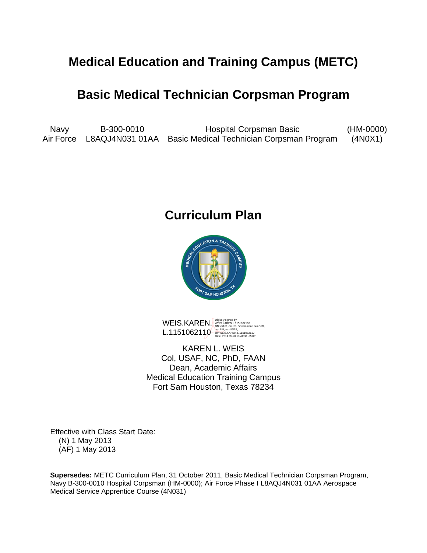# **Medical Education and Training Campus (METC)**

# **Basic Medical Technician Corpsman Program**

Navy B-300-0010 Hospital Corpsman Basic (HM-0000) Air Force L8AQJ4N031 01AA Basic Medical Technician Corpsman Program (4N0X1)

# **Curriculum Plan**



WEIS.KAREN.<br>L. 1151062110<br>L. 1151000110 (DIEPKI, OU=USAF, OU-USAF, OU=USAF, OU=USAF, OU=USAF, OU=USAF, OU=USAF, OU=USAF, OU=USAF, OU L.1151062110<br>Calci 2014.05.20110.html<br>Date: 2014.05.20 13:44:38 -05'00'

KAREN L. WEIS Col, USAF, NC, PhD, FAAN Dean, Academic Affairs Medical Education Training Campus Fort Sam Houston, Texas 78234

Effective with Class Start Date: (N) 1 May 2013 (AF) 1 May 2013

**Supersedes:** METC Curriculum Plan, 31 October 2011, Basic Medical Technician Corpsman Program, Navy B-300-0010 Hospital Corpsman (HM-0000); Air Force Phase I L8AQJ4N031 01AA Aerospace Medical Service Apprentice Course (4N031)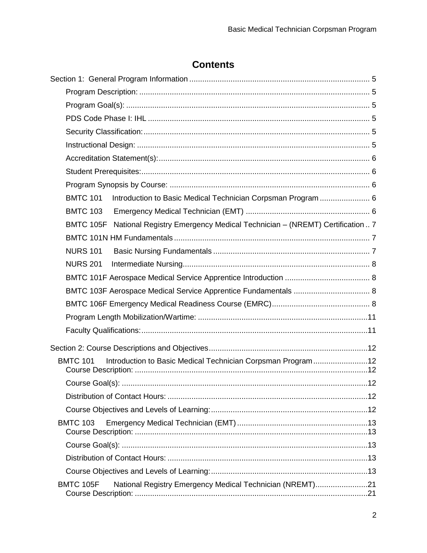# **Contents**

| <b>BMTC 101</b><br>Introduction to Basic Medical Technician Corpsman Program  6     |  |
|-------------------------------------------------------------------------------------|--|
| <b>BMTC 103</b>                                                                     |  |
| BMTC 105F National Registry Emergency Medical Technician - (NREMT) Certification  7 |  |
|                                                                                     |  |
| <b>NURS 101</b>                                                                     |  |
| <b>NURS 201</b>                                                                     |  |
|                                                                                     |  |
|                                                                                     |  |
|                                                                                     |  |
|                                                                                     |  |
|                                                                                     |  |
|                                                                                     |  |
| Introduction to Basic Medical Technician Corpsman Program12<br><b>BMTC 101</b>      |  |
|                                                                                     |  |
|                                                                                     |  |
|                                                                                     |  |
| <b>BMTC 103</b>                                                                     |  |
|                                                                                     |  |
|                                                                                     |  |
|                                                                                     |  |
| <b>BMTC 105F</b><br>National Registry Emergency Medical Technician (NREMT)21        |  |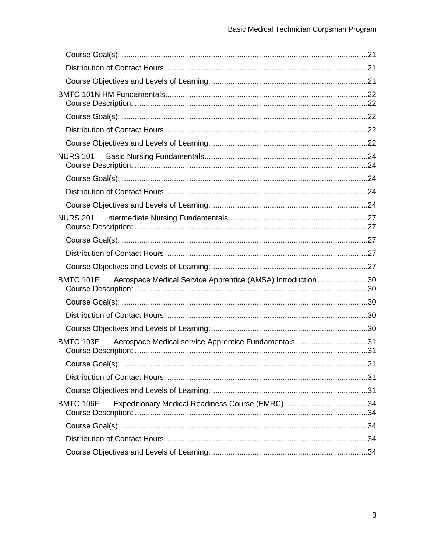| <b>NURS 101</b>                                                       |  |
|-----------------------------------------------------------------------|--|
|                                                                       |  |
|                                                                       |  |
|                                                                       |  |
| <b>NURS 201</b>                                                       |  |
|                                                                       |  |
|                                                                       |  |
|                                                                       |  |
| BMTC 101F Aerospace Medical Service Apprentice (AMSA) Introduction 30 |  |
|                                                                       |  |
|                                                                       |  |
|                                                                       |  |
| BMTC 103F Aerospace Medical service Apprentice Fundamentals31         |  |
|                                                                       |  |
|                                                                       |  |
|                                                                       |  |
| <b>BMTC 106F</b>                                                      |  |
|                                                                       |  |
|                                                                       |  |
|                                                                       |  |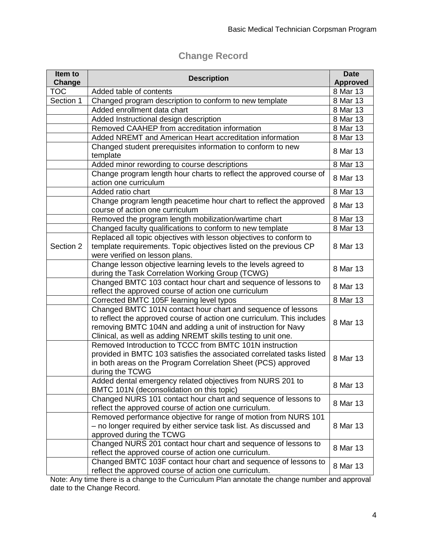# **Change Record**

| Item to    | <b>Description</b>                                                                                                                                                                                                                                                      | <b>Date</b>     |
|------------|-------------------------------------------------------------------------------------------------------------------------------------------------------------------------------------------------------------------------------------------------------------------------|-----------------|
| Change     |                                                                                                                                                                                                                                                                         | <b>Approved</b> |
| <b>TOC</b> | Added table of contents                                                                                                                                                                                                                                                 | 8 Mar 13        |
| Section 1  | Changed program description to conform to new template                                                                                                                                                                                                                  | 8 Mar 13        |
|            | Added enrollment data chart                                                                                                                                                                                                                                             | 8 Mar 13        |
|            | Added Instructional design description                                                                                                                                                                                                                                  | 8 Mar 13        |
|            | Removed CAAHEP from accreditation information                                                                                                                                                                                                                           | 8 Mar 13        |
|            | Added NREMT and American Heart accreditation information                                                                                                                                                                                                                | 8 Mar 13        |
|            | Changed student prerequisites information to conform to new<br>template                                                                                                                                                                                                 | 8 Mar 13        |
|            | Added minor rewording to course descriptions                                                                                                                                                                                                                            | 8 Mar 13        |
|            | Change program length hour charts to reflect the approved course of<br>action one curriculum                                                                                                                                                                            | 8 Mar 13        |
|            | Added ratio chart                                                                                                                                                                                                                                                       | 8 Mar 13        |
|            | Change program length peacetime hour chart to reflect the approved<br>course of action one curriculum                                                                                                                                                                   | 8 Mar 13        |
|            | Removed the program length mobilization/wartime chart                                                                                                                                                                                                                   | 8 Mar 13        |
|            | Changed faculty qualifications to conform to new template                                                                                                                                                                                                               | 8 Mar 13        |
| Section 2  | Replaced all topic objectives with lesson objectives to conform to<br>template requirements. Topic objectives listed on the previous CP<br>were verified on lesson plans.                                                                                               | 8 Mar 13        |
|            | Change lesson objective learning levels to the levels agreed to<br>during the Task Correlation Working Group (TCWG)                                                                                                                                                     | 8 Mar 13        |
|            | Changed BMTC 103 contact hour chart and sequence of lessons to<br>reflect the approved course of action one curriculum                                                                                                                                                  | 8 Mar 13        |
|            | Corrected BMTC 105F learning level typos                                                                                                                                                                                                                                | 8 Mar 13        |
|            | Changed BMTC 101N contact hour chart and sequence of lessons<br>to reflect the approved course of action one curriculum. This includes<br>removing BMTC 104N and adding a unit of instruction for Navy<br>Clinical, as well as adding NREMT skills testing to unit one. | 8 Mar 13        |
|            | Removed Introduction to TCCC from BMTC 101N instruction<br>provided in BMTC 103 satisfies the associated correlated tasks listed<br>in both areas on the Program Correlation Sheet (PCS) approved<br>during the TCWG                                                    | 8 Mar 13        |
|            | Added dental emergency related objectives from NURS 201 to<br>BMTC 101N (deconsolidation on this topic)                                                                                                                                                                 | 8 Mar 13        |
|            | Changed NURS 101 contact hour chart and sequence of lessons to<br>reflect the approved course of action one curriculum.                                                                                                                                                 | 8 Mar 13        |
|            | Removed performance objective for range of motion from NURS 101<br>- no longer required by either service task list. As discussed and<br>approved during the TCWG                                                                                                       | 8 Mar 13        |
|            | Changed NURS 201 contact hour chart and sequence of lessons to<br>reflect the approved course of action one curriculum.                                                                                                                                                 | 8 Mar 13        |
|            | Changed BMTC 103F contact hour chart and sequence of lessons to<br>reflect the approved course of action one curriculum.                                                                                                                                                | 8 Mar 13        |

Note: Any time there is a change to the Curriculum Plan annotate the change number and approval date to the Change Record.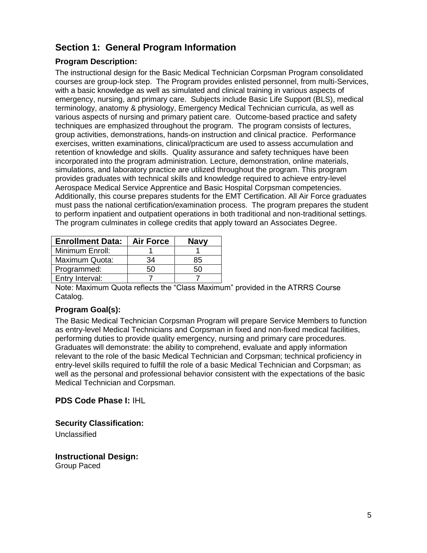# <span id="page-4-0"></span>**Section 1: General Program Information**

#### <span id="page-4-1"></span>**Program Description:**

The instructional design for the Basic Medical Technician Corpsman Program consolidated courses are group-lock step. The Program provides enlisted personnel, from multi-Services, with a basic knowledge as well as simulated and clinical training in various aspects of emergency, nursing, and primary care. Subjects include Basic Life Support (BLS), medical terminology, anatomy & physiology, Emergency Medical Technician curricula, as well as various aspects of nursing and primary patient care. Outcome-based practice and safety techniques are emphasized throughout the program. The program consists of lectures, group activities, demonstrations, hands-on instruction and clinical practice. Performance exercises, written examinations, clinical/practicum are used to assess accumulation and retention of knowledge and skills. Quality assurance and safety techniques have been incorporated into the program administration. Lecture, demonstration, online materials, simulations, and laboratory practice are utilized throughout the program. This program provides graduates with technical skills and knowledge required to achieve entry-level Aerospace Medical Service Apprentice and Basic Hospital Corpsman competencies. Additionally, this course prepares students for the EMT Certification. All Air Force graduates must pass the national certification/examination process. The program prepares the student to perform inpatient and outpatient operations in both traditional and non-traditional settings. The program culminates in college credits that apply toward an Associates Degree.

| <b>Enrollment Data:</b> | <b>Air Force</b> | <b>Navy</b> |
|-------------------------|------------------|-------------|
| Minimum Enroll:         |                  |             |
| Maximum Quota:          | 34               | 85          |
| Programmed:             | 50               | 50          |
| Entry Interval:         |                  |             |

Note: Maximum Quota reflects the "Class Maximum" provided in the ATRRS Course Catalog.

#### <span id="page-4-2"></span>**Program Goal(s):**

The Basic Medical Technician Corpsman Program will prepare Service Members to function as entry-level Medical Technicians and Corpsman in fixed and non-fixed medical facilities, performing duties to provide quality emergency, nursing and primary care procedures. Graduates will demonstrate: the ability to comprehend, evaluate and apply information relevant to the role of the basic Medical Technician and Corpsman; technical proficiency in entry-level skills required to fulfill the role of a basic Medical Technician and Corpsman; as well as the personal and professional behavior consistent with the expectations of the basic Medical Technician and Corpsman.

#### <span id="page-4-3"></span>**PDS Code Phase I:** IHL

<span id="page-4-4"></span>**Security Classification:**

Unclassified

<span id="page-4-5"></span>**Instructional Design:** Group Paced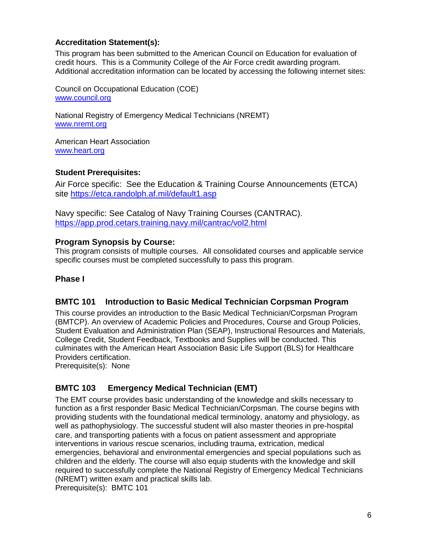#### <span id="page-5-0"></span>**Accreditation Statement(s):**

This program has been submitted to the American Council on Education for evaluation of credit hours. This is a Community College of the Air Force credit awarding program. Additional accreditation information can be located by accessing the following internet sites:

Council on Occupational Education (COE) [www.council.org](http://www.council.org/)

National Registry of Emergency Medical Technicians (NREMT) [www.nremt.org](http://www.nremt.org/)

American Heart Association [www.heart.org](http://www.heart.org/)

#### <span id="page-5-1"></span>**Student Prerequisites:**

Air Force specific: See the Education & Training Course Announcements (ETCA) site<https://etca.randolph.af.mil/default1.asp>

Navy specific: See Catalog of Navy Training Courses (CANTRAC). <https://app.prod.cetars.training.navy.mil/cantrac/vol2.html>

#### <span id="page-5-2"></span>**Program Synopsis by Course:**

This program consists of multiple courses. All consolidated courses and applicable service specific courses must be completed successfully to pass this program.

#### **Phase I**

#### <span id="page-5-3"></span>**BMTC 101 Introduction to Basic Medical Technician Corpsman Program**

This course provides an introduction to the Basic Medical Technician/Corpsman Program (BMTCP). An overview of Academic Policies and Procedures, Course and Group Policies, Student Evaluation and Administration Plan (SEAP), Instructional Resources and Materials, College Credit, Student Feedback, Textbooks and Supplies will be conducted. This culminates with the American Heart Association Basic Life Support (BLS) for Healthcare Providers certification.

Prerequisite(s): None

### <span id="page-5-4"></span>**BMTC 103 Emergency Medical Technician (EMT)**

The EMT course provides basic understanding of the knowledge and skills necessary to function as a first responder Basic Medical Technician/Corpsman. The course begins with providing students with the foundational medical terminology, anatomy and physiology, as well as pathophysiology. The successful student will also master theories in pre-hospital care, and transporting patients with a focus on patient assessment and appropriate interventions in various rescue scenarios, including trauma, extrication, medical emergencies, behavioral and environmental emergencies and special populations such as children and the elderly. The course will also equip students with the knowledge and skill required to successfully complete the National Registry of Emergency Medical Technicians (NREMT) written exam and practical skills lab.

Prerequisite(s): BMTC 101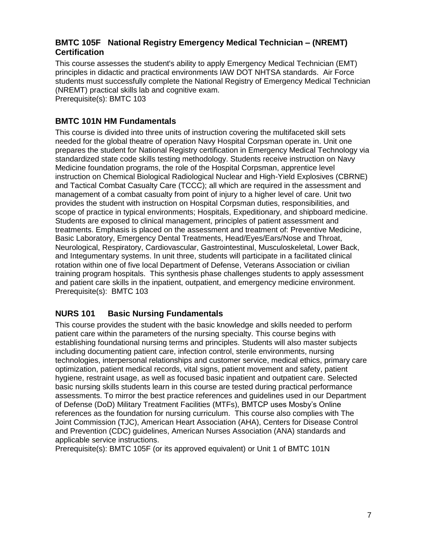### <span id="page-6-0"></span>**BMTC 105F National Registry Emergency Medical Technician – (NREMT) Certification**

This course assesses the student's ability to apply Emergency Medical Technician (EMT) principles in didactic and practical environments IAW DOT NHTSA standards. Air Force students must successfully complete the National Registry of Emergency Medical Technician (NREMT) practical skills lab and cognitive exam. Prerequisite(s): BMTC 103

#### <span id="page-6-1"></span>**BMTC 101N HM Fundamentals**

This course is divided into three units of instruction covering the multifaceted skill sets needed for the global theatre of operation Navy Hospital Corpsman operate in. Unit one prepares the student for National Registry certification in Emergency Medical Technology via standardized state code skills testing methodology. Students receive instruction on Navy Medicine foundation programs, the role of the Hospital Corpsman, apprentice level instruction on Chemical Biological Radiological Nuclear and High-Yield Explosives (CBRNE) and Tactical Combat Casualty Care (TCCC); all which are required in the assessment and management of a combat casualty from point of injury to a higher level of care. Unit two provides the student with instruction on Hospital Corpsman duties, responsibilities, and scope of practice in typical environments; Hospitals, Expeditionary, and shipboard medicine. Students are exposed to clinical management, principles of patient assessment and treatments. Emphasis is placed on the assessment and treatment of: Preventive Medicine, Basic Laboratory, Emergency Dental Treatments, Head/Eyes/Ears/Nose and Throat, Neurological, Respiratory, Cardiovascular, Gastrointestinal, Musculoskeletal, Lower Back, and Integumentary systems. In unit three, students will participate in a facilitated clinical rotation within one of five local Department of Defense, Veterans Association or civilian training program hospitals. This synthesis phase challenges students to apply assessment and patient care skills in the inpatient, outpatient, and emergency medicine environment. Prerequisite(s): BMTC 103

### <span id="page-6-2"></span>**NURS 101 Basic Nursing Fundamentals**

This course provides the student with the basic knowledge and skills needed to perform patient care within the parameters of the nursing specialty. This course begins with establishing foundational nursing terms and principles. Students will also master subjects including documenting patient care, infection control, sterile environments, nursing technologies, interpersonal relationships and customer service, medical ethics, primary care optimization, patient medical records, vital signs, patient movement and safety, patient hygiene, restraint usage, as well as focused basic inpatient and outpatient care. Selected basic nursing skills students learn in this course are tested during practical performance assessments. To mirror the best practice references and guidelines used in our Department of Defense (DoD) Military Treatment Facilities (MTFs), BMTCP uses Mosby's Online references as the foundation for nursing curriculum. This course also complies with The Joint Commission (TJC), American Heart Association (AHA), Centers for Disease Control and Prevention (CDC) guidelines, American Nurses Association (ANA) standards and applicable service instructions.

<span id="page-6-3"></span>Prerequisite(s): BMTC 105F (or its approved equivalent) or Unit 1 of BMTC 101N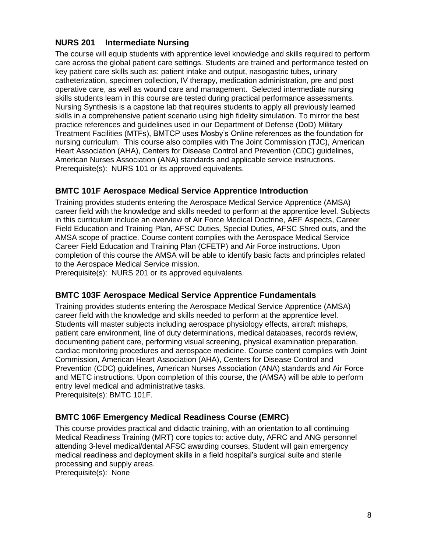### **NURS 201 Intermediate Nursing**

The course will equip students with apprentice level knowledge and skills required to perform care across the global patient care settings. Students are trained and performance tested on key patient care skills such as: patient intake and output, nasogastric tubes, urinary catheterization, specimen collection, IV therapy, medication administration, pre and post operative care, as well as wound care and management. Selected intermediate nursing skills students learn in this course are tested during practical performance assessments. Nursing Synthesis is a capstone lab that requires students to apply all previously learned skills in a comprehensive patient scenario using high fidelity simulation. To mirror the best practice references and guidelines used in our Department of Defense (DoD) Military Treatment Facilities (MTFs), BMTCP uses Mosby's Online references as the foundation for nursing curriculum. This course also complies with The Joint Commission (TJC), American Heart Association (AHA), Centers for Disease Control and Prevention (CDC) guidelines, American Nurses Association (ANA) standards and applicable service instructions. Prerequisite(s): NURS 101 or its approved equivalents.

#### <span id="page-7-0"></span>**BMTC 101F Aerospace Medical Service Apprentice Introduction**

Training provides students entering the Aerospace Medical Service Apprentice (AMSA) career field with the knowledge and skills needed to perform at the apprentice level. Subjects in this curriculum include an overview of Air Force Medical Doctrine, AEF Aspects, Career Field Education and Training Plan, AFSC Duties, Special Duties, AFSC Shred outs, and the AMSA scope of practice. Course content complies with the Aerospace Medical Service Career Field Education and Training Plan (CFETP) and Air Force instructions. Upon completion of this course the AMSA will be able to identify basic facts and principles related to the Aerospace Medical Service mission.

Prerequisite(s): NURS 201 or its approved equivalents.

#### <span id="page-7-1"></span>**BMTC 103F Aerospace Medical Service Apprentice Fundamentals**

Training provides students entering the Aerospace Medical Service Apprentice (AMSA) career field with the knowledge and skills needed to perform at the apprentice level. Students will master subjects including aerospace physiology effects, aircraft mishaps, patient care environment, line of duty determinations, medical databases, records review, documenting patient care, performing visual screening, physical examination preparation, cardiac monitoring procedures and aerospace medicine. Course content complies with Joint Commission, American Heart Association (AHA), Centers for Disease Control and Prevention (CDC) guidelines, American Nurses Association (ANA) standards and Air Force and METC instructions. Upon completion of this course, the (AMSA) will be able to perform entry level medical and administrative tasks.

Prerequisite(s): BMTC 101F.

#### <span id="page-7-2"></span>**BMTC 106F Emergency Medical Readiness Course (EMRC)**

This course provides practical and didactic training, with an orientation to all continuing Medical Readiness Training (MRT) core topics to: active duty, AFRC and ANG personnel attending 3-level medical/dental AFSC awarding courses. Student will gain emergency medical readiness and deployment skills in a field hospital's surgical suite and sterile processing and supply areas.

Prerequisite(s): None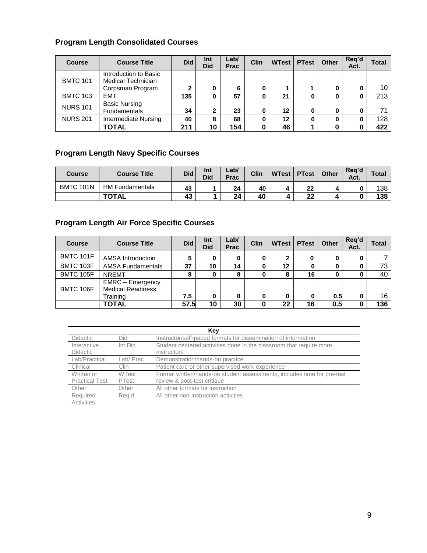#### **Program Length Consolidated Courses**

| <b>Course</b>   | <b>Course Title</b>                                                    | <b>Did</b> | Int<br><b>Did</b> | Lab/<br><b>Prac</b> | <b>Clin</b> | <b>WTest</b> | <b>PTest</b> | <b>Other</b> | Reg'd<br>Act. | Total |
|-----------------|------------------------------------------------------------------------|------------|-------------------|---------------------|-------------|--------------|--------------|--------------|---------------|-------|
| <b>BMTC 101</b> | Introduction to Basic<br><b>Medical Technician</b><br>Corpsman Program | 2          | 0                 | 6                   | 0           |              |              |              | 0             | 10    |
| <b>BMTC 103</b> | <b>EMT</b>                                                             | 135        | 0                 | 57                  | 0           | 21           |              |              | 0             | 213   |
| <b>NURS 101</b> | <b>Basic Nursing</b><br><b>Fundamentals</b>                            | 34         | $\mathbf 2$       | 23                  | 0           | 12           |              |              | 0             | 71    |
| <b>NURS 201</b> | <b>Intermediate Nursing</b>                                            | 40         | 8                 | 68                  | 0           | 12           |              |              | 0             | 128   |
|                 | <b>TOTAL</b>                                                           | 211        | 10                | 154                 | 0           | 46           |              |              | 0             | 422   |

### **Program Length Navy Specific Courses**

| <b>Course</b>    | <b>Course Title</b>    | <b>Did</b> | Int<br><b>Did</b> | Lab/<br><b>Prac</b> | Clin | <b>WTest</b> | <b>PTest</b> | <b>Other</b> | Rea'd<br>Act. | Total |
|------------------|------------------------|------------|-------------------|---------------------|------|--------------|--------------|--------------|---------------|-------|
| <b>BMTC 101N</b> | <b>HM Fundamentals</b> | 43         |                   | 24                  | 40   | 4            | 22           |              |               | 138   |
|                  | <b>TOTAL</b>           | 43         |                   | 24                  | 40   |              | າາ<br>ZZ     |              |               | 138   |

### **Program Length Air Force Specific Courses**

| <b>Course</b>    | <b>Course Title</b>                                             | <b>Did</b> | Int<br><b>Did</b> | Lab/<br>Prac | <b>Clin</b> | <b>WTest</b> | <b>PTest</b> | <b>Other</b> | Reg'd<br>Act. | <b>Total</b> |
|------------------|-----------------------------------------------------------------|------------|-------------------|--------------|-------------|--------------|--------------|--------------|---------------|--------------|
| <b>BMTC 101F</b> | <b>AMSA Introduction</b>                                        | 5          | 0                 |              | 0           | 2            | 0            |              | 0             |              |
| <b>BMTC 103F</b> | <b>AMSA Fundamentals</b>                                        | 37         | 10                | 14           | 0           | 12           |              |              | 0             | 73           |
| <b>BMTC 105F</b> | <b>NREMT</b>                                                    | 8          | 0                 |              | 0           | 8            | 16           |              | 0             | 40           |
| <b>BMTC 106F</b> | <b>EMRC</b> - Emergency<br><b>Medical Readiness</b><br>Training | 7.5        | 0                 | 8            | 0           | 0            |              | 0.5          | 0             | 16           |
|                  | TOTAL                                                           | 57.5       | 10                | 30           |             | 22           | 16           | 0.5          | 0             | 136          |

|                                     | Kev                   |                                                                                                        |  |  |  |  |  |
|-------------------------------------|-----------------------|--------------------------------------------------------------------------------------------------------|--|--|--|--|--|
| <b>Didactic</b>                     | Did                   | Instructor/self-paced formats for dissemination of information                                         |  |  |  |  |  |
| Interactive<br><b>Didactic</b>      | Int Did               | Student centered activities done in the classroom that require more<br>instructors                     |  |  |  |  |  |
| Lab/Practical                       | Lab/ Prac             | Demonstration/hands-on practice                                                                        |  |  |  |  |  |
| Clinical                            | Clin                  | Patient care or other supervised work experience                                                       |  |  |  |  |  |
| Written or<br><b>Practical Test</b> | <b>WTest</b><br>PTest | Formal written/hands-on student assessments, includes time for pre-test<br>review & post-test critique |  |  |  |  |  |
| Other                               | Other                 | All other formats for instruction                                                                      |  |  |  |  |  |
| Required<br>Activities              | Reg'd                 | All other non-instruction activities                                                                   |  |  |  |  |  |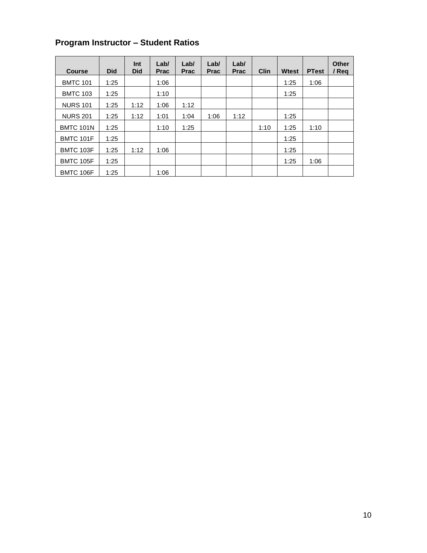# **Program Instructor – Student Ratios**

| <b>Course</b>    | <b>Did</b> | Int<br><b>Did</b> | Lab/<br><b>Prac</b> | Lab/<br><b>Prac</b> | Lab/<br><b>Prac</b> | Lab/<br><b>Prac</b> | Clin | <b>Wtest</b> | <b>PTest</b> | <b>Other</b><br>/ Reg |
|------------------|------------|-------------------|---------------------|---------------------|---------------------|---------------------|------|--------------|--------------|-----------------------|
| <b>BMTC 101</b>  | 1:25       |                   | 1:06                |                     |                     |                     |      | 1:25         | 1:06         |                       |
| <b>BMTC 103</b>  | 1:25       |                   | 1:10                |                     |                     |                     |      | 1:25         |              |                       |
| <b>NURS 101</b>  | 1:25       | 1:12              | 1:06                | 1:12                |                     |                     |      |              |              |                       |
| <b>NURS 201</b>  | 1:25       | 1:12              | 1:01                | 1:04                | 1:06                | 1:12                |      | 1:25         |              |                       |
| <b>BMTC 101N</b> | 1:25       |                   | 1:10                | 1:25                |                     |                     | 1:10 | 1:25         | 1:10         |                       |
| <b>BMTC 101F</b> | 1:25       |                   |                     |                     |                     |                     |      | 1:25         |              |                       |
| BMTC 103F        | 1:25       | 1:12              | 1:06                |                     |                     |                     |      | 1:25         |              |                       |
| <b>BMTC 105F</b> | 1:25       |                   |                     |                     |                     |                     |      | 1:25         | 1:06         |                       |
| BMTC 106F        | 1:25       |                   | 1:06                |                     |                     |                     |      |              |              |                       |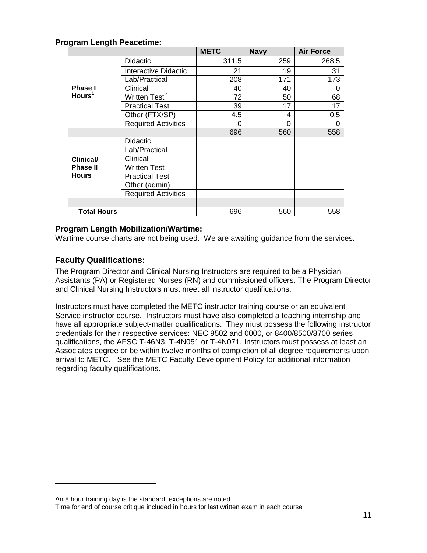#### **Program Length Peacetime:**

|                    |                             | <b>METC</b> | <b>Navy</b> | <b>Air Force</b> |
|--------------------|-----------------------------|-------------|-------------|------------------|
|                    | <b>Didactic</b>             | 311.5       | 259         | 268.5            |
|                    | <b>Interactive Didactic</b> | 21          | 19          | 31               |
|                    | Lab/Practical               | 208         | 171         | 173              |
| <b>Phase I</b>     | Clinical                    | 40          | 40          | 0                |
| Hours <sup>1</sup> | Written Test <sup>2</sup>   | 72          | 50          | 68               |
|                    | <b>Practical Test</b>       | 39          | 17          | 17               |
|                    | Other (FTX/SP)              | 4.5         | 4           | 0.5              |
|                    | <b>Required Activities</b>  | 0           | $\Omega$    | $\Omega$         |
|                    |                             | 696         | 560         | 558              |
|                    | <b>Didactic</b>             |             |             |                  |
|                    | Lab/Practical               |             |             |                  |
| <b>Clinical/</b>   | Clinical                    |             |             |                  |
| <b>Phase II</b>    | Written Test                |             |             |                  |
| <b>Hours</b>       | <b>Practical Test</b>       |             |             |                  |
|                    | Other (admin)               |             |             |                  |
|                    | <b>Required Activities</b>  |             |             |                  |
|                    |                             |             |             |                  |
| <b>Total Hours</b> |                             | 696         | 560         | 558              |

#### <span id="page-10-0"></span>**Program Length Mobilization/Wartime:**

Wartime course charts are not being used. We are awaiting guidance from the services.

#### <span id="page-10-1"></span>**Faculty Qualifications:**

 $\overline{a}$ 

The Program Director and Clinical Nursing Instructors are required to be a Physician Assistants (PA) or Registered Nurses (RN) and commissioned officers. The Program Director and Clinical Nursing Instructors must meet all instructor qualifications.

Instructors must have completed the METC instructor training course or an equivalent Service instructor course. Instructors must have also completed a teaching internship and have all appropriate subject-matter qualifications. They must possess the following instructor credentials for their respective services: NEC 9502 and 0000, or 8400/8500/8700 series qualifications, the AFSC T-46N3, T-4N051 or T-4N071. Instructors must possess at least an Associates degree or be within twelve months of completion of all degree requirements upon arrival to METC. See the METC Faculty Development Policy for additional information regarding faculty qualifications.

An 8 hour training day is the standard; exceptions are noted

Time for end of course critique included in hours for last written exam in each course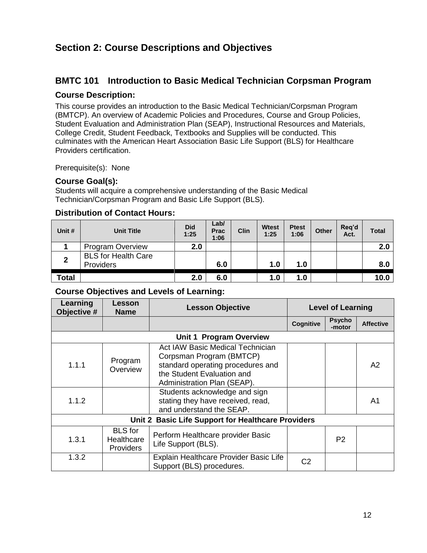# <span id="page-11-0"></span>**Section 2: Course Descriptions and Objectives**

## <span id="page-11-1"></span>**BMTC 101 Introduction to Basic Medical Technician Corpsman Program**

#### <span id="page-11-2"></span>**Course Description:**

This course provides an introduction to the Basic Medical Technician/Corpsman Program (BMTCP). An overview of Academic Policies and Procedures, Course and Group Policies, Student Evaluation and Administration Plan (SEAP), Instructional Resources and Materials, College Credit, Student Feedback, Textbooks and Supplies will be conducted. This culminates with the American Heart Association Basic Life Support (BLS) for Healthcare Providers certification.

Prerequisite(s): None

### <span id="page-11-3"></span>**Course Goal(s):**

Students will acquire a comprehensive understanding of the Basic Medical Technician/Corpsman Program and Basic Life Support (BLS).

#### <span id="page-11-4"></span>**Distribution of Contact Hours:**

| Unit #         | <b>Unit Title</b>                       | <b>Did</b><br>1:25 | Lab/<br><b>Prac</b><br>1:06 | <b>Clin</b> | <b>Wtest</b><br>1:25 | <b>Ptest</b><br>1:06 | <b>Other</b> | Reg'd<br>Act. | <b>Total</b> |
|----------------|-----------------------------------------|--------------------|-----------------------------|-------------|----------------------|----------------------|--------------|---------------|--------------|
|                | <b>Program Overview</b>                 | 2.0                |                             |             |                      |                      |              |               | 2.0          |
| $\overline{2}$ | <b>BLS for Health Care</b><br>Providers |                    | 6.0                         |             | 1.0                  | 1.0                  |              |               | 8.0          |
| <b>Total</b>   |                                         | 2.0                | 6.0                         |             | 1.0                  | 1.0                  |              |               | 10.0         |

<span id="page-11-5"></span>

| Learning<br>Objective # | Lesson<br><b>Name</b>                     | <b>Lesson Objective</b>                                                                                                                                                                         |                | <b>Level of Learning</b> |                  |  |
|-------------------------|-------------------------------------------|-------------------------------------------------------------------------------------------------------------------------------------------------------------------------------------------------|----------------|--------------------------|------------------|--|
|                         |                                           |                                                                                                                                                                                                 | Cognitive      | <b>Psycho</b><br>-motor  | <b>Affective</b> |  |
|                         |                                           | Unit 1 Program Overview                                                                                                                                                                         |                |                          |                  |  |
| 1.1.1                   | Program<br>Overview                       | Act IAW Basic Medical Technician<br>Corpsman Program (BMTCP)<br>standard operating procedures and<br>the Student Evaluation and<br>Administration Plan (SEAP).<br>Students acknowledge and sign |                |                          | A2               |  |
| 1.1.2                   |                                           | stating they have received, read,<br>and understand the SEAP.                                                                                                                                   |                |                          | A1               |  |
|                         |                                           | Unit 2 Basic Life Support for Healthcare Providers                                                                                                                                              |                |                          |                  |  |
| 1.3.1                   | <b>BLS</b> for<br>Healthcare<br>Providers | Perform Healthcare provider Basic<br>Life Support (BLS).                                                                                                                                        |                | P <sub>2</sub>           |                  |  |
| 1.3.2                   |                                           | Explain Healthcare Provider Basic Life<br>Support (BLS) procedures.                                                                                                                             | C <sub>2</sub> |                          |                  |  |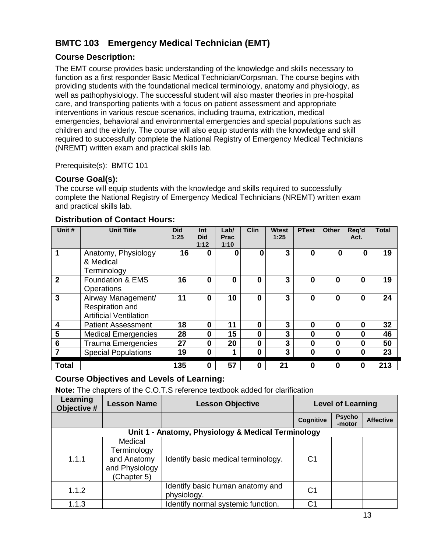# <span id="page-12-0"></span>**BMTC 103 Emergency Medical Technician (EMT)**

### <span id="page-12-1"></span>**Course Description:**

The EMT course provides basic understanding of the knowledge and skills necessary to function as a first responder Basic Medical Technician/Corpsman. The course begins with providing students with the foundational medical terminology, anatomy and physiology, as well as pathophysiology. The successful student will also master theories in pre-hospital care, and transporting patients with a focus on patient assessment and appropriate interventions in various rescue scenarios, including trauma, extrication, medical emergencies, behavioral and environmental emergencies and special populations such as children and the elderly. The course will also equip students with the knowledge and skill required to successfully complete the National Registry of Emergency Medical Technicians (NREMT) written exam and practical skills lab.

Prerequisite(s): BMTC 101

### <span id="page-12-2"></span>**Course Goal(s):**

The course will equip students with the knowledge and skills required to successfully complete the National Registry of Emergency Medical Technicians (NREMT) written exam and practical skills lab.

| Unit #                  | <b>Unit Title</b>                                                      | <b>Did</b><br>1:25 | Int<br><b>Did</b><br>1:12 | Lab/<br><b>Prac</b><br>1:10 | <b>Clin</b>  | <b>Wtest</b><br>1:25 | <b>PTest</b> | <b>Other</b> | Req'd<br>Act. | Total |
|-------------------------|------------------------------------------------------------------------|--------------------|---------------------------|-----------------------------|--------------|----------------------|--------------|--------------|---------------|-------|
| 1                       | Anatomy, Physiology<br>& Medical<br>Terminology                        | 16                 | 0                         | ŋ                           | 0            | 3                    | $\Omega$     | ი            |               | 19    |
| $\mathbf{2}$            | Foundation & EMS<br>Operations                                         | 16                 | 0                         | 0                           | $\mathbf{0}$ | 3                    | $\Omega$     | በ            | 0             | 19    |
| 3                       | Airway Management/<br>Respiration and<br><b>Artificial Ventilation</b> | 11                 | 0                         | 10                          | 0            | 3                    | 0            | 0            | 0             | 24    |
| $\overline{\mathbf{4}}$ | <b>Patient Assessment</b>                                              | 18                 | 0                         | 11                          | 0            | 3                    | 0            | 0            | 0             | 32    |
| $5\phantom{a}$          | <b>Medical Emergencies</b>                                             | 28                 | 0                         | 15                          | 0            | 3                    | 0            | 0            | 0             | 46    |
| $6\phantom{1}6$         | <b>Trauma Emergencies</b>                                              | 27                 | 0                         | 20                          | 0            | 3                    | 0            | 0            | 0             | 50    |
| 7                       | <b>Special Populations</b>                                             | 19                 | 0                         |                             | 0            | 3                    | 0            | 0            | 0             | 23    |
| <b>Total</b>            |                                                                        | 135                | 0                         | 57                          | 0            | 21                   | $\bf{0}$     | Ω            | 0             | 213   |

#### <span id="page-12-3"></span>**Distribution of Contact Hours:**

### <span id="page-12-4"></span>**Course Objectives and Levels of Learning:**

**Note:** The chapters of the C.O.T.S reference textbook added for clarification

| Learning<br>Objective # | <b>Lesson Name</b>                                                     | <b>Lesson Objective</b>                            |           | <b>Level of Learning</b> |                  |  |  |
|-------------------------|------------------------------------------------------------------------|----------------------------------------------------|-----------|--------------------------|------------------|--|--|
|                         |                                                                        |                                                    | Cognitive | <b>Psycho</b><br>-motor  | <b>Affective</b> |  |  |
|                         |                                                                        | Unit 1 - Anatomy, Physiology & Medical Terminology |           |                          |                  |  |  |
| 1.1.1                   | Medical<br>Terminology<br>and Anatomy<br>and Physiology<br>(Chapter 5) | Identify basic medical terminology.                | C1        |                          |                  |  |  |
| 1.1.2                   |                                                                        | Identify basic human anatomy and<br>physiology.    | C1        |                          |                  |  |  |
| 1.1.3                   |                                                                        | Identify normal systemic function.                 | C1        |                          |                  |  |  |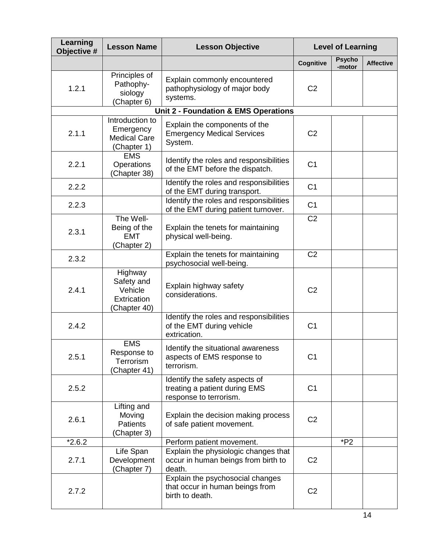| Learning<br>Objective # | <b>Lesson Name</b>                                                 | <b>Lesson Objective</b>                                                                   |                | <b>Level of Learning</b> |                  |
|-------------------------|--------------------------------------------------------------------|-------------------------------------------------------------------------------------------|----------------|--------------------------|------------------|
|                         |                                                                    |                                                                                           | Cognitive      | <b>Psycho</b><br>-motor  | <b>Affective</b> |
| 1.2.1                   | Principles of<br>Pathophy-<br>siology<br>(Chapter 6)               | Explain commonly encountered<br>pathophysiology of major body<br>systems.                 | C <sub>2</sub> |                          |                  |
|                         |                                                                    | Unit 2 - Foundation & EMS Operations                                                      |                |                          |                  |
| 2.1.1                   | Introduction to<br>Emergency<br><b>Medical Care</b><br>(Chapter 1) | Explain the components of the<br><b>Emergency Medical Services</b><br>System.             | C <sub>2</sub> |                          |                  |
| 2.2.1                   | <b>EMS</b><br>Operations<br>(Chapter 38)                           | Identify the roles and responsibilities<br>of the EMT before the dispatch.                | C <sub>1</sub> |                          |                  |
| 2.2.2                   |                                                                    | Identify the roles and responsibilities<br>of the EMT during transport.                   | C <sub>1</sub> |                          |                  |
| 2.2.3                   |                                                                    | Identify the roles and responsibilities<br>of the EMT during patient turnover.            | C <sub>1</sub> |                          |                  |
| 2.3.1                   | The Well-<br>Being of the<br><b>EMT</b><br>(Chapter 2)             | Explain the tenets for maintaining<br>physical well-being.                                | C <sub>2</sub> |                          |                  |
| 2.3.2                   |                                                                    | Explain the tenets for maintaining<br>psychosocial well-being.                            | C <sub>2</sub> |                          |                  |
| 2.4.1                   | Highway<br>Safety and<br>Vehicle<br>Extrication<br>(Chapter 40)    | Explain highway safety<br>considerations.                                                 | C <sub>2</sub> |                          |                  |
| 2.4.2                   |                                                                    | Identify the roles and responsibilities<br>of the EMT during vehicle<br>extrication.      | C <sub>1</sub> |                          |                  |
| 2.5.1                   | <b>EMS</b><br>Response to<br>Terrorism<br>Chapter 41)              | Identify the situational awareness<br>aspects of EMS response to<br>terrorism.            | C <sub>1</sub> |                          |                  |
| 2.5.2                   |                                                                    | Identify the safety aspects of<br>treating a patient during EMS<br>response to terrorism. | C <sub>1</sub> |                          |                  |
| 2.6.1                   | Lifting and<br>Moving<br><b>Patients</b><br>(Chapter 3)            | Explain the decision making process<br>of safe patient movement.                          | C <sub>2</sub> |                          |                  |
| $*2.6.2$                |                                                                    | Perform patient movement.                                                                 |                | $*P2$                    |                  |
| 2.7.1                   | Life Span<br>Development<br>(Chapter 7)                            | Explain the physiologic changes that<br>occur in human beings from birth to<br>death.     | C <sub>2</sub> |                          |                  |
| 2.7.2                   |                                                                    | Explain the psychosocial changes<br>that occur in human beings from<br>birth to death.    | C <sub>2</sub> |                          |                  |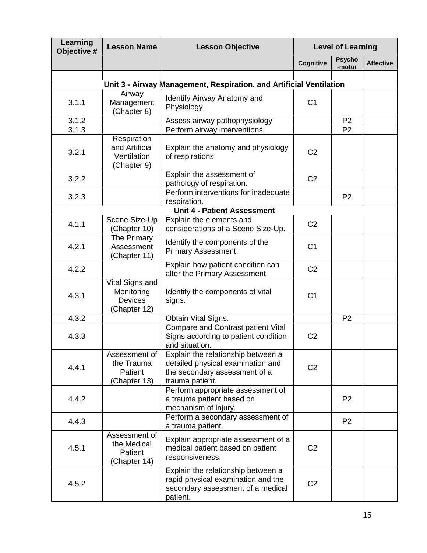| Learning<br>Objective # | <b>Lesson Name</b>                                              | <b>Lesson Objective</b>                                                                                                     |                | <b>Level of Learning</b> |                  |
|-------------------------|-----------------------------------------------------------------|-----------------------------------------------------------------------------------------------------------------------------|----------------|--------------------------|------------------|
|                         |                                                                 |                                                                                                                             | Cognitive      | <b>Psycho</b><br>-motor  | <b>Affective</b> |
|                         |                                                                 |                                                                                                                             |                |                          |                  |
|                         |                                                                 | Unit 3 - Airway Management, Respiration, and Artificial Ventilation                                                         |                |                          |                  |
| 3.1.1                   | Airway<br>Management<br>(Chapter 8)                             | Identify Airway Anatomy and<br>Physiology.                                                                                  | C <sub>1</sub> |                          |                  |
| 3.1.2                   |                                                                 | Assess airway pathophysiology                                                                                               |                | P <sub>2</sub>           |                  |
| 3.1.3                   |                                                                 | Perform airway interventions                                                                                                |                | P <sub>2</sub>           |                  |
| 3.2.1                   | Respiration<br>and Artificial<br>Ventilation<br>(Chapter 9)     | Explain the anatomy and physiology<br>of respirations                                                                       | C <sub>2</sub> |                          |                  |
| 3.2.2                   |                                                                 | Explain the assessment of<br>pathology of respiration.                                                                      | C <sub>2</sub> |                          |                  |
| 3.2.3                   |                                                                 | Perform interventions for inadequate<br>respiration.                                                                        |                | P <sub>2</sub>           |                  |
|                         |                                                                 | <b>Unit 4 - Patient Assessment</b>                                                                                          |                |                          |                  |
| 4.1.1                   | Scene Size-Up<br>(Chapter 10)                                   | Explain the elements and<br>considerations of a Scene Size-Up.                                                              | C <sub>2</sub> |                          |                  |
| 4.2.1                   | The Primary<br>Assessment<br>(Chapter 11)                       | Identify the components of the<br>Primary Assessment.                                                                       | C <sub>1</sub> |                          |                  |
| 4.2.2                   |                                                                 | Explain how patient condition can<br>alter the Primary Assessment.                                                          | C <sub>2</sub> |                          |                  |
| 4.3.1                   | Vital Signs and<br>Monitoring<br><b>Devices</b><br>(Chapter 12) | Identify the components of vital<br>signs.                                                                                  | C <sub>1</sub> |                          |                  |
| 4.3.2                   |                                                                 | Obtain Vital Signs.                                                                                                         |                | P <sub>2</sub>           |                  |
| 4.3.3                   |                                                                 | Compare and Contrast patient Vital<br>Signs according to patient condition<br>and situation.                                | C <sub>2</sub> |                          |                  |
| 4.4.1                   | Assessment of<br>the Trauma<br>Patient<br>(Chapter 13)          | Explain the relationship between a<br>detailed physical examination and<br>the secondary assessment of a<br>trauma patient. | C <sub>2</sub> |                          |                  |
| 4.4.2                   |                                                                 | Perform appropriate assessment of<br>a trauma patient based on<br>mechanism of injury.                                      |                | P <sub>2</sub>           |                  |
| 4.4.3                   |                                                                 | Perform a secondary assessment of<br>a trauma patient.                                                                      |                | P <sub>2</sub>           |                  |
| 4.5.1                   | Assessment of<br>the Medical<br>Patient<br>(Chapter 14)         | Explain appropriate assessment of a<br>medical patient based on patient<br>responsiveness.                                  | C <sub>2</sub> |                          |                  |
| 4.5.2                   |                                                                 | Explain the relationship between a<br>rapid physical examination and the<br>secondary assessment of a medical<br>patient.   | C <sub>2</sub> |                          |                  |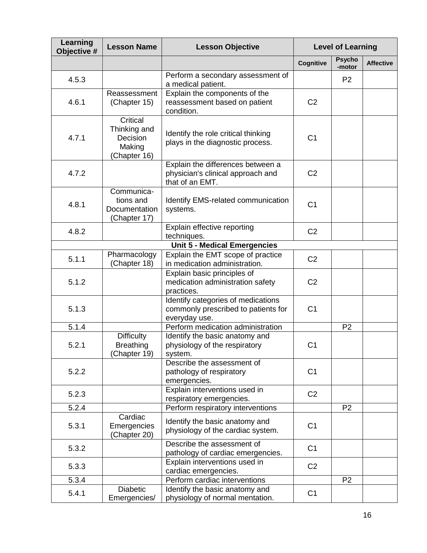| Learning<br>Objective # | <b>Lesson Name</b>                                             | <b>Lesson Objective</b>                                                                    |                | <b>Level of Learning</b> |                  |
|-------------------------|----------------------------------------------------------------|--------------------------------------------------------------------------------------------|----------------|--------------------------|------------------|
|                         |                                                                |                                                                                            | Cognitive      | <b>Psycho</b><br>-motor  | <b>Affective</b> |
| 4.5.3                   |                                                                | Perform a secondary assessment of<br>a medical patient.                                    |                | P <sub>2</sub>           |                  |
| 4.6.1                   | Reassessment<br>(Chapter 15)                                   | Explain the components of the<br>reassessment based on patient<br>condition.               | C <sub>2</sub> |                          |                  |
| 4.7.1                   | Critical<br>Thinking and<br>Decision<br>Making<br>(Chapter 16) | Identify the role critical thinking<br>plays in the diagnostic process.                    | C <sub>1</sub> |                          |                  |
| 4.7.2                   |                                                                | Explain the differences between a<br>physician's clinical approach and<br>that of an EMT.  | C <sub>2</sub> |                          |                  |
| 4.8.1                   | Communica-<br>tions and<br>Documentation<br>(Chapter 17)       | <b>Identify EMS-related communication</b><br>systems.                                      | C <sub>1</sub> |                          |                  |
| 4.8.2                   |                                                                | Explain effective reporting<br>techniques.                                                 | C <sub>2</sub> |                          |                  |
|                         |                                                                | <b>Unit 5 - Medical Emergencies</b>                                                        |                |                          |                  |
| 5.1.1                   | Pharmacology<br>(Chapter 18)                                   | Explain the EMT scope of practice<br>in medication administration.                         | C <sub>2</sub> |                          |                  |
| 5.1.2                   |                                                                | Explain basic principles of<br>medication administration safety<br>practices.              | C <sub>2</sub> |                          |                  |
| 5.1.3                   |                                                                | Identify categories of medications<br>commonly prescribed to patients for<br>everyday use. | C <sub>1</sub> |                          |                  |
| 5.1.4                   |                                                                | Perform medication administration                                                          |                | P <sub>2</sub>           |                  |
| 5.2.1                   | <b>Difficulty</b><br><b>Breathing</b><br>(Chapter 19)          | Identify the basic anatomy and<br>physiology of the respiratory<br>system.                 | C <sub>1</sub> |                          |                  |
| 5.2.2                   |                                                                | Describe the assessment of<br>pathology of respiratory<br>emergencies.                     | C <sub>1</sub> |                          |                  |
| 5.2.3                   |                                                                | Explain interventions used in<br>respiratory emergencies.                                  | C <sub>2</sub> |                          |                  |
| 5.2.4                   |                                                                | Perform respiratory interventions                                                          |                | P <sub>2</sub>           |                  |
| 5.3.1                   | Cardiac<br>Emergencies<br>(Chapter 20)                         | Identify the basic anatomy and<br>physiology of the cardiac system.                        | C <sub>1</sub> |                          |                  |
| 5.3.2                   |                                                                | Describe the assessment of<br>pathology of cardiac emergencies.                            | C <sub>1</sub> |                          |                  |
| 5.3.3                   |                                                                | Explain interventions used in<br>cardiac emergencies.                                      | C <sub>2</sub> |                          |                  |
| 5.3.4                   |                                                                | Perform cardiac interventions                                                              |                | P <sub>2</sub>           |                  |
| 5.4.1                   | <b>Diabetic</b><br>Emergencies/                                | Identify the basic anatomy and<br>physiology of normal mentation.                          | C <sub>1</sub> |                          |                  |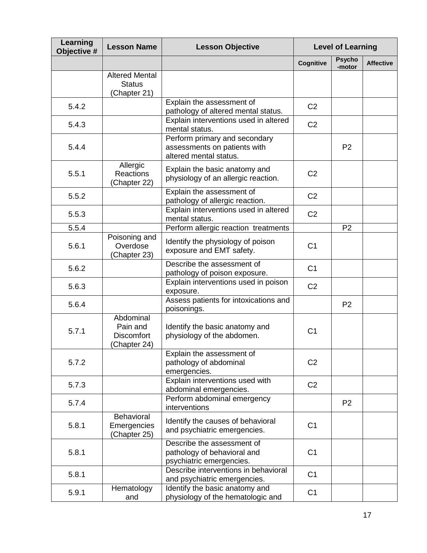| Learning<br>Objective # | <b>Lesson Name</b>                                        | <b>Lesson Objective</b>                                                                 |                | <b>Level of Learning</b> |                  |
|-------------------------|-----------------------------------------------------------|-----------------------------------------------------------------------------------------|----------------|--------------------------|------------------|
|                         |                                                           |                                                                                         | Cognitive      | <b>Psycho</b><br>-motor  | <b>Affective</b> |
|                         | <b>Altered Mental</b><br><b>Status</b><br>(Chapter 21)    |                                                                                         |                |                          |                  |
| 5.4.2                   |                                                           | Explain the assessment of<br>pathology of altered mental status.                        | C <sub>2</sub> |                          |                  |
| 5.4.3                   |                                                           | Explain interventions used in altered<br>mental status.                                 | C <sub>2</sub> |                          |                  |
| 5.4.4                   |                                                           | Perform primary and secondary<br>assessments on patients with<br>altered mental status. |                | P <sub>2</sub>           |                  |
| 5.5.1                   | Allergic<br><b>Reactions</b><br>Chapter 22)               | Explain the basic anatomy and<br>physiology of an allergic reaction.                    | C <sub>2</sub> |                          |                  |
| 5.5.2                   |                                                           | Explain the assessment of<br>pathology of allergic reaction.                            | C <sub>2</sub> |                          |                  |
| 5.5.3                   |                                                           | Explain interventions used in altered<br>mental status.                                 | C <sub>2</sub> |                          |                  |
| 5.5.4                   |                                                           | Perform allergic reaction treatments                                                    |                | P <sub>2</sub>           |                  |
| 5.6.1                   | Poisoning and<br>Overdose<br>(Chapter 23)                 | Identify the physiology of poison<br>exposure and EMT safety.                           | C <sub>1</sub> |                          |                  |
| 5.6.2                   |                                                           | Describe the assessment of<br>pathology of poison exposure.                             | C <sub>1</sub> |                          |                  |
| 5.6.3                   |                                                           | Explain interventions used in poison<br>exposure.                                       | C <sub>2</sub> |                          |                  |
| 5.6.4                   |                                                           | Assess patients for intoxications and<br>poisonings.                                    |                | P <sub>2</sub>           |                  |
| 5.7.1                   | Abdominal<br>Pain and<br><b>Discomfort</b><br>Chapter 24) | Identify the basic anatomy and<br>physiology of the abdomen.                            | C <sub>1</sub> |                          |                  |
| 5.7.2                   |                                                           | Explain the assessment of<br>pathology of abdominal<br>emergencies.                     | C <sub>2</sub> |                          |                  |
| 5.7.3                   |                                                           | Explain interventions used with<br>abdominal emergencies.                               | C <sub>2</sub> |                          |                  |
| 5.7.4                   |                                                           | Perform abdominal emergency<br>interventions                                            |                | P <sub>2</sub>           |                  |
| 5.8.1                   | Behavioral<br>Emergencies<br>(Chapter 25)                 | Identify the causes of behavioral<br>and psychiatric emergencies.                       | C <sub>1</sub> |                          |                  |
| 5.8.1                   |                                                           | Describe the assessment of<br>pathology of behavioral and<br>psychiatric emergencies.   | C <sub>1</sub> |                          |                  |
| 5.8.1                   |                                                           | Describe interventions in behavioral<br>and psychiatric emergencies.                    | C <sub>1</sub> |                          |                  |
| 5.9.1                   | Hematology<br>and                                         | Identify the basic anatomy and<br>physiology of the hematologic and                     | C <sub>1</sub> |                          |                  |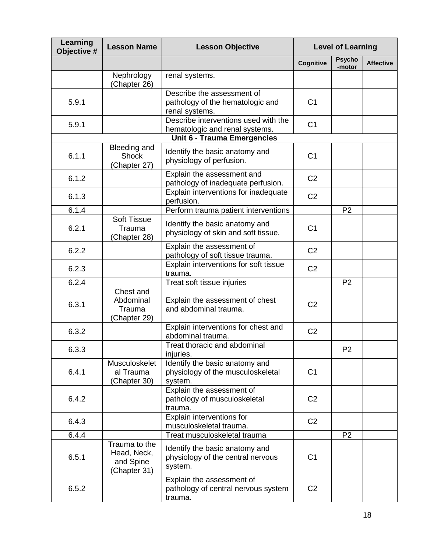| Learning<br>Objective # | <b>Lesson Name</b>                                        | <b>Lesson Objective</b>                                                          |                | <b>Level of Learning</b> |                  |  |
|-------------------------|-----------------------------------------------------------|----------------------------------------------------------------------------------|----------------|--------------------------|------------------|--|
|                         |                                                           |                                                                                  | Cognitive      | <b>Psycho</b><br>-motor  | <b>Affective</b> |  |
|                         | Nephrology<br>(Chapter 26)                                | renal systems.                                                                   |                |                          |                  |  |
| 5.9.1                   |                                                           | Describe the assessment of<br>pathology of the hematologic and<br>renal systems. | C <sub>1</sub> |                          |                  |  |
| 5.9.1                   |                                                           | Describe interventions used with the<br>hematologic and renal systems.           | C <sub>1</sub> |                          |                  |  |
|                         |                                                           | <b>Unit 6 - Trauma Emergencies</b>                                               |                |                          |                  |  |
| 6.1.1                   | Bleeding and<br><b>Shock</b><br>(Chapter 27)              | Identify the basic anatomy and<br>physiology of perfusion.                       | C <sub>1</sub> |                          |                  |  |
| 6.1.2                   |                                                           | Explain the assessment and<br>pathology of inadequate perfusion.                 | C <sub>2</sub> |                          |                  |  |
| 6.1.3                   |                                                           | Explain interventions for inadequate<br>perfusion.                               | C <sub>2</sub> |                          |                  |  |
| 6.1.4                   |                                                           | Perform trauma patient interventions                                             |                | P <sub>2</sub>           |                  |  |
| 6.2.1                   | <b>Soft Tissue</b><br>Trauma<br>Chapter 28)               | Identify the basic anatomy and<br>physiology of skin and soft tissue.            | C <sub>1</sub> |                          |                  |  |
| 6.2.2                   |                                                           | Explain the assessment of<br>pathology of soft tissue trauma.                    | C <sub>2</sub> |                          |                  |  |
| 6.2.3                   |                                                           | Explain interventions for soft tissue<br>trauma.                                 | C <sub>2</sub> |                          |                  |  |
| 6.2.4                   |                                                           | Treat soft tissue injuries                                                       |                | P <sub>2</sub>           |                  |  |
| 6.3.1                   | Chest and<br>Abdominal<br>Trauma<br>(Chapter 29)          | Explain the assessment of chest<br>and abdominal trauma.                         | C <sub>2</sub> |                          |                  |  |
| 6.3.2                   |                                                           | Explain interventions for chest and<br>abdominal trauma.                         | C <sub>2</sub> |                          |                  |  |
| 6.3.3                   |                                                           | Treat thoracic and abdominal<br>injuries.                                        |                | P <sub>2</sub>           |                  |  |
| 6.4.1                   | Musculoskelet<br>al Trauma<br>Chapter 30)                 | Identify the basic anatomy and<br>physiology of the musculoskeletal<br>system.   | C <sub>1</sub> |                          |                  |  |
| 6.4.2                   |                                                           | Explain the assessment of<br>pathology of musculoskeletal<br>trauma.             | C <sub>2</sub> |                          |                  |  |
| 6.4.3                   |                                                           | Explain interventions for<br>musculoskeletal trauma.                             | C <sub>2</sub> |                          |                  |  |
| 6.4.4                   |                                                           | Treat musculoskeletal trauma                                                     |                | P <sub>2</sub>           |                  |  |
| 6.5.1                   | Trauma to the<br>Head, Neck,<br>and Spine<br>(Chapter 31) | Identify the basic anatomy and<br>physiology of the central nervous<br>system.   | C <sub>1</sub> |                          |                  |  |
| 6.5.2                   |                                                           | Explain the assessment of<br>pathology of central nervous system<br>trauma.      | C <sub>2</sub> |                          |                  |  |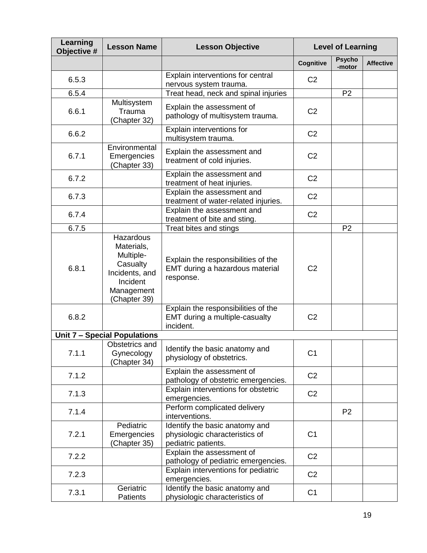| Learning<br>Objective # | <b>Lesson Name</b>                                                                                           | <b>Lesson Objective</b>                                                                 |                | <b>Level of Learning</b> |                  |
|-------------------------|--------------------------------------------------------------------------------------------------------------|-----------------------------------------------------------------------------------------|----------------|--------------------------|------------------|
|                         |                                                                                                              |                                                                                         | Cognitive      | <b>Psycho</b><br>-motor  | <b>Affective</b> |
| 6.5.3                   |                                                                                                              | Explain interventions for central<br>nervous system trauma.                             | C <sub>2</sub> |                          |                  |
| 6.5.4                   |                                                                                                              | Treat head, neck and spinal injuries                                                    |                | P <sub>2</sub>           |                  |
| 6.6.1                   | Multisystem<br>Trauma<br>(Chapter 32)                                                                        | Explain the assessment of<br>pathology of multisystem trauma.                           | C <sub>2</sub> |                          |                  |
| 6.6.2                   |                                                                                                              | Explain interventions for<br>multisystem trauma.                                        | C <sub>2</sub> |                          |                  |
| 6.7.1                   | Environmental<br>Emergencies<br>(Chapter 33)                                                                 | Explain the assessment and<br>treatment of cold injuries.                               | C <sub>2</sub> |                          |                  |
| 6.7.2                   |                                                                                                              | Explain the assessment and<br>treatment of heat injuries.                               | C <sub>2</sub> |                          |                  |
| 6.7.3                   |                                                                                                              | Explain the assessment and<br>treatment of water-related injuries.                      | C <sub>2</sub> |                          |                  |
| 6.7.4                   |                                                                                                              | Explain the assessment and<br>treatment of bite and sting.                              | C <sub>2</sub> |                          |                  |
| 6.7.5                   |                                                                                                              | Treat bites and stings                                                                  |                | P <sub>2</sub>           |                  |
| 6.8.1                   | Hazardous<br>Materials,<br>Multiple-<br>Casualty<br>Incidents, and<br>Incident<br>Management<br>(Chapter 39) | Explain the responsibilities of the<br>EMT during a hazardous material<br>response.     | C <sub>2</sub> |                          |                  |
| 6.8.2                   |                                                                                                              | Explain the responsibilities of the<br>EMT during a multiple-casualty<br>incident.      | C <sub>2</sub> |                          |                  |
|                         | Unit 7 - Special Populations                                                                                 |                                                                                         |                |                          |                  |
| 7.1.1                   | Obstetrics and<br>Gynecology<br>(Chapter 34)                                                                 | Identify the basic anatomy and<br>physiology of obstetrics.                             | C <sub>1</sub> |                          |                  |
| 7.1.2                   |                                                                                                              | Explain the assessment of<br>pathology of obstetric emergencies.                        | C <sub>2</sub> |                          |                  |
| 7.1.3                   |                                                                                                              | Explain interventions for obstetric<br>emergencies.                                     | C <sub>2</sub> |                          |                  |
| 7.1.4                   |                                                                                                              | Perform complicated delivery<br>interventions.                                          |                | P <sub>2</sub>           |                  |
| 7.2.1                   | Pediatric<br>Emergencies<br>(Chapter 35)                                                                     | Identify the basic anatomy and<br>physiologic characteristics of<br>pediatric patients. | C <sub>1</sub> |                          |                  |
| 7.2.2                   |                                                                                                              | Explain the assessment of<br>pathology of pediatric emergencies.                        | C <sub>2</sub> |                          |                  |
| 7.2.3                   |                                                                                                              | Explain interventions for pediatric<br>emergencies.                                     | C <sub>2</sub> |                          |                  |
| 7.3.1                   | Geriatric<br>Patients                                                                                        | Identify the basic anatomy and<br>physiologic characteristics of                        | C <sub>1</sub> |                          |                  |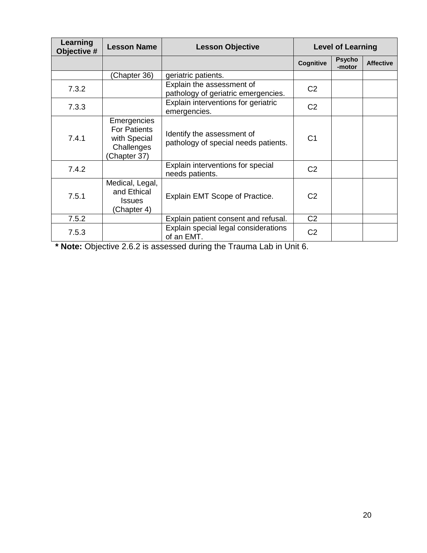| Learning<br>Objective # | <b>Lesson Name</b>                                                               | <b>Lesson Objective</b>                                            |                |                         | <b>Level of Learning</b> |  |  |
|-------------------------|----------------------------------------------------------------------------------|--------------------------------------------------------------------|----------------|-------------------------|--------------------------|--|--|
|                         |                                                                                  |                                                                    | Cognitive      | <b>Psycho</b><br>-motor | <b>Affective</b>         |  |  |
|                         | Chapter 36)                                                                      | geriatric patients.                                                |                |                         |                          |  |  |
| 7.3.2                   |                                                                                  | Explain the assessment of<br>pathology of geriatric emergencies.   | C <sub>2</sub> |                         |                          |  |  |
| 7.3.3                   |                                                                                  | Explain interventions for geriatric<br>emergencies.                | C <sub>2</sub> |                         |                          |  |  |
| 7.4.1                   | Emergencies<br><b>For Patients</b><br>with Special<br>Challenges<br>(Chapter 37) | Identify the assessment of<br>pathology of special needs patients. | C <sub>1</sub> |                         |                          |  |  |
| 7.4.2                   |                                                                                  | Explain interventions for special<br>needs patients.               | C <sub>2</sub> |                         |                          |  |  |
| 7.5.1                   | Medical, Legal,<br>and Ethical<br><b>Issues</b><br>(Chapter 4)                   | Explain EMT Scope of Practice.                                     | C <sub>2</sub> |                         |                          |  |  |
| 7.5.2                   |                                                                                  | Explain patient consent and refusal.                               | C <sub>2</sub> |                         |                          |  |  |
| 7.5.3                   |                                                                                  | Explain special legal considerations<br>of an EMT.                 | C <sub>2</sub> |                         |                          |  |  |

**\* Note:** Objective 2.6.2 is assessed during the Trauma Lab in Unit 6.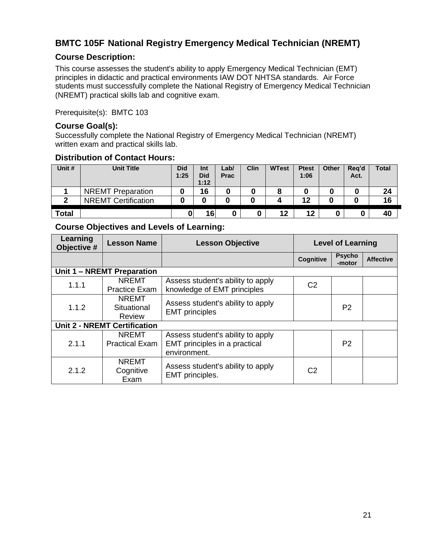# <span id="page-20-0"></span>**BMTC 105F National Registry Emergency Medical Technician (NREMT)**

#### <span id="page-20-1"></span>**Course Description:**

This course assesses the student's ability to apply Emergency Medical Technician (EMT) principles in didactic and practical environments IAW DOT NHTSA standards. Air Force students must successfully complete the National Registry of Emergency Medical Technician (NREMT) practical skills lab and cognitive exam.

Prerequisite(s): BMTC 103

#### <span id="page-20-2"></span>**Course Goal(s):**

Successfully complete the National Registry of Emergency Medical Technician (NREMT) written exam and practical skills lab.

#### <span id="page-20-3"></span>**Distribution of Contact Hours:**

| Unit #       | <b>Unit Title</b>          | <b>Did</b><br>1:25 | Int<br><b>Did</b><br>1:12 | ∟ab/<br><b>Prac</b> | Clin | <b>WTest</b> | <b>Ptest</b><br>1:06 | Other | Reg'd<br>Act. | <b>Total</b> |
|--------------|----------------------------|--------------------|---------------------------|---------------------|------|--------------|----------------------|-------|---------------|--------------|
|              | <b>NREMT</b> Preparation   |                    | 16                        | 0                   |      |              |                      | 0     |               | 24           |
| ◠            | <b>NREMT Certification</b> |                    |                           |                     |      |              | 12                   | 0     |               | 16           |
| <b>Total</b> |                            | 0                  | 16                        |                     | 0    | 12           | 12                   |       |               | 40           |

<span id="page-20-4"></span>

| Learning<br>Objective # | <b>Lesson Name</b>                    | <b>Lesson Objective</b>                                                            | <b>Level of Learning</b> |                         |                  |
|-------------------------|---------------------------------------|------------------------------------------------------------------------------------|--------------------------|-------------------------|------------------|
|                         |                                       |                                                                                    | Cognitive                | <b>Psycho</b><br>-motor | <b>Affective</b> |
|                         | Unit 1 - NREMT Preparation            |                                                                                    |                          |                         |                  |
| 1.1.1                   | <b>NREMT</b><br><b>Practice Exam</b>  | Assess student's ability to apply<br>knowledge of EMT principles                   | C <sub>2</sub>           |                         |                  |
| 1.1.2                   | <b>NREMT</b><br>Situational<br>Review | Assess student's ability to apply<br><b>EMT</b> principles                         |                          | P <sub>2</sub>          |                  |
|                         | <b>Unit 2 - NREMT Certification</b>   |                                                                                    |                          |                         |                  |
| 2.1.1                   | <b>NREMT</b><br><b>Practical Exam</b> | Assess student's ability to apply<br>EMT principles in a practical<br>environment. |                          | P <sub>2</sub>          |                  |
| 2.1.2                   | <b>NREMT</b><br>Cognitive<br>Exam     | Assess student's ability to apply<br>EMT principles.                               | C2                       |                         |                  |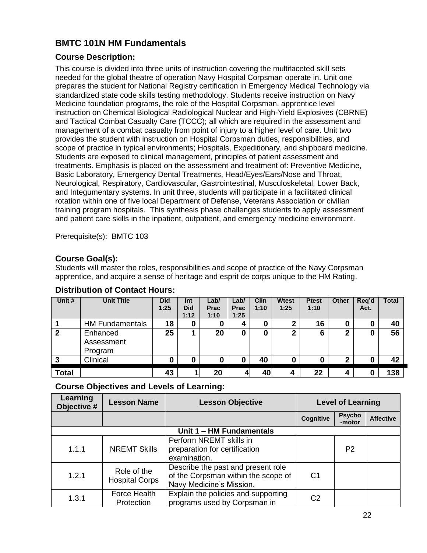# <span id="page-21-0"></span>**BMTC 101N HM Fundamentals**

### <span id="page-21-1"></span>**Course Description:**

This course is divided into three units of instruction covering the multifaceted skill sets needed for the global theatre of operation Navy Hospital Corpsman operate in. Unit one prepares the student for National Registry certification in Emergency Medical Technology via standardized state code skills testing methodology. Students receive instruction on Navy Medicine foundation programs, the role of the Hospital Corpsman, apprentice level instruction on Chemical Biological Radiological Nuclear and High-Yield Explosives (CBRNE) and Tactical Combat Casualty Care (TCCC); all which are required in the assessment and management of a combat casualty from point of injury to a higher level of care. Unit two provides the student with instruction on Hospital Corpsman duties, responsibilities, and scope of practice in typical environments; Hospitals, Expeditionary, and shipboard medicine. Students are exposed to clinical management, principles of patient assessment and treatments. Emphasis is placed on the assessment and treatment of: Preventive Medicine, Basic Laboratory, Emergency Dental Treatments, Head/Eyes/Ears/Nose and Throat, Neurological, Respiratory, Cardiovascular, Gastrointestinal, Musculoskeletal, Lower Back, and Integumentary systems. In unit three, students will participate in a facilitated clinical rotation within one of five local Department of Defense, Veterans Association or civilian training program hospitals. This synthesis phase challenges students to apply assessment and patient care skills in the inpatient, outpatient, and emergency medicine environment.

Prerequisite(s): BMTC 103

### <span id="page-21-2"></span>**Course Goal(s):**

Students will master the roles, responsibilities and scope of practice of the Navy Corpsman apprentice, and acquire a sense of heritage and esprit de corps unique to the HM Rating.

| Unit #       | <b>Unit Title</b>      | <b>Did</b> | Int        | Lab/        | Lab/        | <b>Clin</b> | <b>Wtest</b> | <b>Ptest</b> | <b>Other</b> | Req'd | <b>Total</b> |
|--------------|------------------------|------------|------------|-------------|-------------|-------------|--------------|--------------|--------------|-------|--------------|
|              |                        | 1:25       | <b>Did</b> | <b>Prac</b> | <b>Prac</b> | 1:10        | 1:25         | 1:10         |              | Act.  |              |
|              |                        |            | 1:12       | 1:10        | 1:25        |             |              |              |              |       |              |
|              | <b>HM Fundamentals</b> | 18         | 0          | U           | 4           |             | ◠            | 16           | 0            | 0     | 40           |
| $\mathbf{2}$ | Enhanced               | 25         |            | 20          | 0           | ŋ           | 2            | 6            | $\mathbf{2}$ |       | 56           |
|              | Assessment             |            |            |             |             |             |              |              |              |       |              |
|              | Program                |            |            |             |             |             |              |              |              |       |              |
| 3            | Clinical               |            |            | 0           |             | 40          |              | 0            | 2            |       | 42           |
|              |                        |            |            |             |             |             |              |              |              |       |              |
| <b>Total</b> |                        | 43         |            | 20          | Д           | 40          | 4            | 22           | 4            |       | 138          |

#### <span id="page-21-3"></span>**Distribution of Contact Hours:**

<span id="page-21-4"></span>

| Learning<br>Objective # | <b>Lesson Name</b>                   | <b>Lesson Objective</b>                                                                               |                | <b>Level of Learning</b> |                  |  |
|-------------------------|--------------------------------------|-------------------------------------------------------------------------------------------------------|----------------|--------------------------|------------------|--|
|                         |                                      |                                                                                                       | Cognitive      | <b>Psycho</b><br>-motor  | <b>Affective</b> |  |
|                         |                                      | Unit 1 - HM Fundamentals                                                                              |                |                          |                  |  |
| 1.1.1                   | <b>NREMT Skills</b>                  | Perform NREMT skills in<br>preparation for certification<br>examination.                              |                | P <sub>2</sub>           |                  |  |
| 1.2.1                   | Role of the<br><b>Hospital Corps</b> | Describe the past and present role<br>of the Corpsman within the scope of<br>Navy Medicine's Mission. | C <sub>1</sub> |                          |                  |  |
| 1.3.1                   | Force Health<br>Protection           | Explain the policies and supporting<br>programs used by Corpsman in                                   | C <sub>2</sub> |                          |                  |  |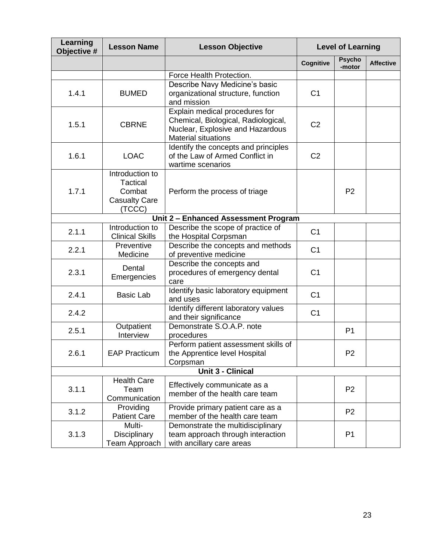| Learning<br>Objective # | <b>Lesson Name</b>                                                             | <b>Lesson Objective</b>                                                                                                                 |                  | <b>Level of Learning</b> |                  |
|-------------------------|--------------------------------------------------------------------------------|-----------------------------------------------------------------------------------------------------------------------------------------|------------------|--------------------------|------------------|
|                         |                                                                                |                                                                                                                                         | <b>Cognitive</b> | <b>Psycho</b><br>-motor  | <b>Affective</b> |
|                         |                                                                                | Force Health Protection.                                                                                                                |                  |                          |                  |
| 1.4.1                   | <b>BUMED</b>                                                                   | Describe Navy Medicine's basic<br>organizational structure, function<br>and mission                                                     | C <sub>1</sub>   |                          |                  |
| 1.5.1                   | <b>CBRNE</b>                                                                   | Explain medical procedures for<br>Chemical, Biological, Radiological,<br>Nuclear, Explosive and Hazardous<br><b>Material situations</b> | C <sub>2</sub>   |                          |                  |
| 1.6.1                   | <b>LOAC</b>                                                                    | Identify the concepts and principles<br>of the Law of Armed Conflict in<br>wartime scenarios                                            | C <sub>2</sub>   |                          |                  |
| 1.7.1                   | Introduction to<br><b>Tactical</b><br>Combat<br><b>Casualty Care</b><br>(TCCC) | Perform the process of triage                                                                                                           |                  | P <sub>2</sub>           |                  |
|                         |                                                                                | Unit 2 - Enhanced Assessment Program                                                                                                    |                  |                          |                  |
| 2.1.1                   | Introduction to<br><b>Clinical Skills</b>                                      | Describe the scope of practice of<br>the Hospital Corpsman                                                                              | C <sub>1</sub>   |                          |                  |
| 2.2.1                   | Preventive<br>Medicine                                                         | Describe the concepts and methods<br>of preventive medicine                                                                             | C <sub>1</sub>   |                          |                  |
| 2.3.1                   | Dental<br>Emergencies                                                          | Describe the concepts and<br>procedures of emergency dental<br>care                                                                     | C <sub>1</sub>   |                          |                  |
| 2.4.1                   | <b>Basic Lab</b>                                                               | Identify basic laboratory equipment<br>and uses                                                                                         | C <sub>1</sub>   |                          |                  |
| 2.4.2                   |                                                                                | Identify different laboratory values<br>and their significance                                                                          | C <sub>1</sub>   |                          |                  |
| 2.5.1                   | Outpatient<br>Interview                                                        | Demonstrate S.O.A.P. note<br>procedures                                                                                                 |                  | P <sub>1</sub>           |                  |
| 2.6.1                   | <b>EAP Practicum</b>                                                           | Perform patient assessment skills of<br>the Apprentice level Hospital<br>Corpsman                                                       |                  | P <sub>2</sub>           |                  |
|                         |                                                                                | <b>Unit 3 - Clinical</b>                                                                                                                |                  |                          |                  |
| 3.1.1                   | <b>Health Care</b><br>Team<br>Communication                                    | Effectively communicate as a<br>member of the health care team                                                                          |                  | P <sub>2</sub>           |                  |
| 3.1.2                   | Providing<br><b>Patient Care</b>                                               | Provide primary patient care as a<br>member of the health care team                                                                     |                  | P <sub>2</sub>           |                  |
| 3.1.3                   | Multi-<br>Disciplinary<br>Team Approach                                        | Demonstrate the multidisciplinary<br>team approach through interaction<br>with ancillary care areas                                     |                  | P <sub>1</sub>           |                  |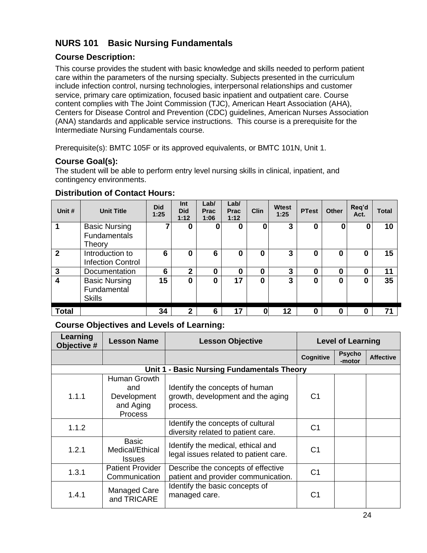# <span id="page-23-0"></span>**NURS 101 Basic Nursing Fundamentals**

## <span id="page-23-1"></span>**Course Description:**

This course provides the student with basic knowledge and skills needed to perform patient care within the parameters of the nursing specialty. Subjects presented in the curriculum include infection control, nursing technologies, interpersonal relationships and customer service, primary care optimization, focused basic inpatient and outpatient care. Course content complies with The Joint Commission (TJC), American Heart Association (AHA), Centers for Disease Control and Prevention (CDC) guidelines, American Nurses Association (ANA) standards and applicable service instructions. This course is a prerequisite for the Intermediate Nursing Fundamentals course.

Prerequisite(s): BMTC 105F or its approved equivalents, or BMTC 101N, Unit 1.

### <span id="page-23-2"></span>**Course Goal(s):**

The student will be able to perform entry level nursing skills in clinical, inpatient, and contingency environments.

| Unit #                  | <b>Unit Title</b>                                     | <b>Did</b><br>1:25 | Int<br><b>Did</b><br>1:12 | Lab/<br><b>Prac</b><br>1:06 | Lab/<br>Prac<br>1:12 | Clin | <b>Wtest</b><br>1:25 | <b>PTest</b>     | <b>Other</b> | Req'd<br>Act. | Total |
|-------------------------|-------------------------------------------------------|--------------------|---------------------------|-----------------------------|----------------------|------|----------------------|------------------|--------------|---------------|-------|
|                         | <b>Basic Nursing</b><br><b>Fundamentals</b><br>Theory |                    | 0                         |                             | $\bf{0}$             | 0    | 3                    | 0                | 0            | 0             | 10    |
| $\overline{2}$          | Introduction to<br><b>Infection Control</b>           | 6                  | 0                         | 6                           | 0                    | 0    | 3                    | 0                | 0            | 0             | 15    |
| 3                       | Documentation                                         | 6                  | $\mathbf{2}$              | 0                           | 0                    | 0    | 3                    | $\boldsymbol{0}$ | $\bf{0}$     | 0             | 11    |
| $\overline{\mathbf{4}}$ | <b>Basic Nursing</b><br>Fundamental<br><b>Skills</b>  | 15                 | 0                         | 0                           | 17                   | 0    | 3                    | $\boldsymbol{0}$ | $\bf{0}$     | 0             | 35    |
| <b>Total</b>            |                                                       | 34                 | $\mathbf{2}$              | 6                           | 17                   | 0    | 12                   | 0                | 0            | O             | 71    |

### <span id="page-23-3"></span>**Distribution of Contact Hours:**

<span id="page-23-4"></span>

| Learning<br>Objective # | <b>Lesson Name</b>                                                | <b>Lesson Objective</b>                                                         |                  | <b>Level of Learning</b> |                  |
|-------------------------|-------------------------------------------------------------------|---------------------------------------------------------------------------------|------------------|--------------------------|------------------|
|                         |                                                                   |                                                                                 | <b>Cognitive</b> | <b>Psycho</b><br>-motor  | <b>Affective</b> |
|                         | Unit 1                                                            | - Basic Nursing Fundamentals Theory                                             |                  |                          |                  |
| 1.1.1                   | Human Growth<br>and<br>Development<br>and Aging<br><b>Process</b> | Identify the concepts of human<br>growth, development and the aging<br>process. | C <sub>1</sub>   |                          |                  |
| 1.1.2                   |                                                                   | Identify the concepts of cultural<br>diversity related to patient care.         | C1               |                          |                  |
| 1.2.1                   | <b>Basic</b><br>Medical/Ethical<br><b>Issues</b>                  | Identify the medical, ethical and<br>legal issues related to patient care.      | C <sub>1</sub>   |                          |                  |
| 1.3.1                   | <b>Patient Provider</b><br>Communication                          | Describe the concepts of effective<br>patient and provider communication.       | C <sub>1</sub>   |                          |                  |
| 1.4.1                   | Managed Care<br>and TRICARE                                       | Identify the basic concepts of<br>managed care.                                 | C1               |                          |                  |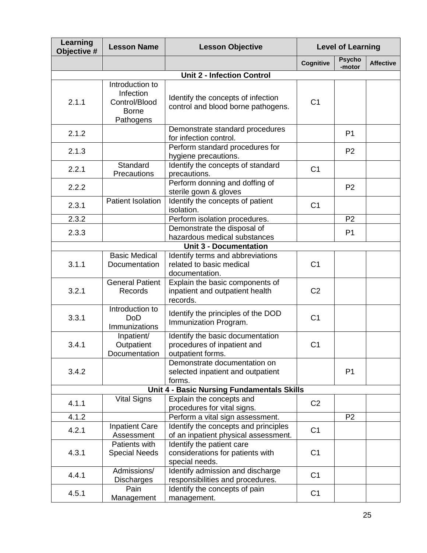| Learning<br>Objective # | <b>Lesson Name</b>                                                         | <b>Lesson Objective</b>                                                              |                | <b>Level of Learning</b> |                  |
|-------------------------|----------------------------------------------------------------------------|--------------------------------------------------------------------------------------|----------------|--------------------------|------------------|
|                         |                                                                            |                                                                                      | Cognitive      | <b>Psycho</b><br>-motor  | <b>Affective</b> |
|                         |                                                                            | <b>Unit 2 - Infection Control</b>                                                    |                |                          |                  |
| 2.1.1                   | Introduction to<br>Infection<br>Control/Blood<br><b>Borne</b><br>Pathogens | Identify the concepts of infection<br>control and blood borne pathogens.             | C <sub>1</sub> |                          |                  |
| 2.1.2                   |                                                                            | Demonstrate standard procedures<br>for infection control.                            |                | P <sub>1</sub>           |                  |
| 2.1.3                   |                                                                            | Perform standard procedures for<br>hygiene precautions.                              |                | P <sub>2</sub>           |                  |
| 2.2.1                   | Standard<br>Precautions                                                    | Identify the concepts of standard<br>precautions.                                    | C <sub>1</sub> |                          |                  |
| 2.2.2                   |                                                                            | Perform donning and doffing of<br>sterile gown & gloves                              |                | P <sub>2</sub>           |                  |
| 2.3.1                   | <b>Patient Isolation</b>                                                   | Identify the concepts of patient<br>isolation.                                       | C <sub>1</sub> |                          |                  |
| 2.3.2                   |                                                                            | Perform isolation procedures.                                                        |                | P <sub>2</sub>           |                  |
| 2.3.3                   |                                                                            | Demonstrate the disposal of<br>hazardous medical substances                          |                | P1                       |                  |
|                         |                                                                            | <b>Unit 3 - Documentation</b>                                                        |                |                          |                  |
| 3.1.1                   | <b>Basic Medical</b><br>Documentation                                      | Identify terms and abbreviations<br>related to basic medical<br>documentation.       | C <sub>1</sub> |                          |                  |
| 3.2.1                   | <b>General Patient</b><br>Records                                          | Explain the basic components of<br>inpatient and outpatient health<br>records.       | C <sub>2</sub> |                          |                  |
| 3.3.1                   | Introduction to<br><b>DoD</b><br>Immunizations                             | Identify the principles of the DOD<br>Immunization Program.                          | C <sub>1</sub> |                          |                  |
| 3.4.1                   | Inpatient/<br>Outpatient<br>Documentation                                  | Identify the basic documentation<br>procedures of inpatient and<br>outpatient forms. | C <sub>1</sub> |                          |                  |
| 3.4.2                   |                                                                            | Demonstrate documentation on<br>selected inpatient and outpatient<br>forms.          |                | P <sub>1</sub>           |                  |
|                         |                                                                            | Unit 4 - Basic Nursing Fundamentals Skills                                           |                |                          |                  |
| 4.1.1                   | <b>Vital Signs</b>                                                         | Explain the concepts and<br>procedures for vital signs.                              | C <sub>2</sub> |                          |                  |
| 4.1.2                   |                                                                            | Perform a vital sign assessment.                                                     |                | P <sub>2</sub>           |                  |
| 4.2.1                   | <b>Inpatient Care</b><br>Assessment                                        | Identify the concepts and principles<br>of an inpatient physical assessment.         | C <sub>1</sub> |                          |                  |
| 4.3.1                   | Patients with<br><b>Special Needs</b>                                      | Identify the patient care<br>considerations for patients with<br>special needs.      | C <sub>1</sub> |                          |                  |
| 4.4.1                   | Admissions/<br><b>Discharges</b>                                           | Identify admission and discharge<br>responsibilities and procedures.                 | C <sub>1</sub> |                          |                  |
| 4.5.1                   | Pain<br>Management                                                         | Identify the concepts of pain<br>management.                                         | C <sub>1</sub> |                          |                  |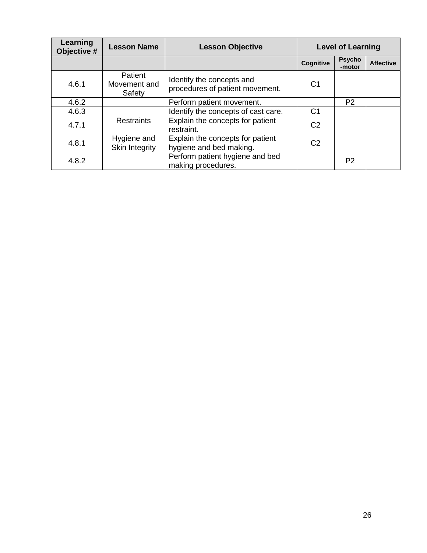| Learning<br>Objective # | <b>Lesson Name</b>                   | <b>Lesson Objective</b>                                      |                | <b>Level of Learning</b> |                  |  |
|-------------------------|--------------------------------------|--------------------------------------------------------------|----------------|--------------------------|------------------|--|
|                         |                                      |                                                              | Cognitive      | <b>Psycho</b><br>-motor  | <b>Affective</b> |  |
| 4.6.1                   | Patient<br>Movement and<br>Safety    | Identify the concepts and<br>procedures of patient movement. | C1             |                          |                  |  |
| 4.6.2                   |                                      | Perform patient movement.                                    |                | P <sub>2</sub>           |                  |  |
| 4.6.3                   |                                      | Identify the concepts of cast care.                          | C <sub>1</sub> |                          |                  |  |
| 4.7.1                   | <b>Restraints</b>                    | Explain the concepts for patient<br>restraint.               | C <sub>2</sub> |                          |                  |  |
| 4.8.1                   | Hygiene and<br><b>Skin Integrity</b> | Explain the concepts for patient<br>hygiene and bed making.  | C <sub>2</sub> |                          |                  |  |
| 4.8.2                   |                                      | Perform patient hygiene and bed<br>making procedures.        |                | P <sub>2</sub>           |                  |  |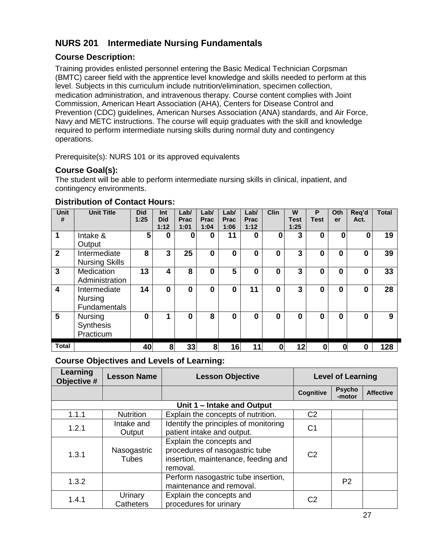# <span id="page-26-0"></span>**NURS 201 Intermediate Nursing Fundamentals**

### <span id="page-26-1"></span>**Course Description:**

Training provides enlisted personnel entering the Basic Medical Technician Corpsman (BMTC) career field with the apprentice level knowledge and skills needed to perform at this level. Subjects in this curriculum include nutrition/elimination, specimen collection, medication administration, and intravenous therapy. Course content complies with Joint Commission, American Heart Association (AHA), Centers for Disease Control and Prevention (CDC) guidelines, American Nurses Association (ANA) standards, and Air Force, Navy and METC instructions. The course will equip graduates with the skill and knowledge required to perform intermediate nursing skills during normal duty and contingency operations.

Prerequisite(s): NURS 101 or its approved equivalents

### <span id="page-26-2"></span>**Course Goal(s):**

The student will be able to perform intermediate nursing skills in clinical, inpatient, and contingency environments.

#### <span id="page-26-3"></span>**Distribution of Contact Hours:**

| <b>Unit</b><br>#        | <b>Unit Title</b>                        | <b>Did</b><br>1:25 | Int<br><b>Did</b><br>1:12 | Lab/<br><b>Prac</b><br>1:01 | Lab/<br><b>Prac</b><br>1:04 | Lab/<br>Prac<br>1:06 | Lab/<br>Prac<br>1:12 | <b>Clin</b> | W<br><b>Test</b><br>1:25 | P<br><b>Test</b> | Oth<br>er | Reg'd<br>Act. | <b>Total</b> |
|-------------------------|------------------------------------------|--------------------|---------------------------|-----------------------------|-----------------------------|----------------------|----------------------|-------------|--------------------------|------------------|-----------|---------------|--------------|
| 1                       | Intake &<br>Output                       | 5                  | $\bf{0}$                  | 0                           | $\bf{0}$                    | 11                   | $\bf{0}$             | 0           | 3                        | $\bf{0}$         | $\bf{0}$  | 0             | 19           |
| $\overline{2}$          | Intermediate<br><b>Nursing Skills</b>    | 8                  | 3                         | 25                          | $\mathbf 0$                 | $\bf{0}$             | $\bf{0}$             | 0           | 3                        | 0                | $\bf{0}$  | 0             | 39           |
| $\overline{3}$          | <b>Medication</b><br>Administration      | 13                 | 4                         | 8                           | 0                           | 5                    | 0                    | 0           | 3                        | 0                | 0         | 0             | 33           |
| $\overline{\mathbf{4}}$ | Intermediate<br>Nursing<br>Fundamentals  | 14                 | $\bf{0}$                  | 0                           | 0                           | $\mathbf 0$          | 11                   | $\bf{0}$    | 3                        | $\bf{0}$         | 0         | 0             | 28           |
| 5                       | <b>Nursing</b><br>Synthesis<br>Practicum | 0                  | 4                         | 0                           | 8                           | $\Omega$             | $\bf{0}$             | 0           | 0                        | $\bf{0}$         | 0         | 0             | 9            |
| <b>Total</b>            |                                          | 40                 | 8                         | 33                          | 8                           | 16                   | 11                   | 0           | 12                       | $\bf{0}$         | 0         | Ω             | 128          |

<span id="page-26-4"></span>

| Learning<br>Objective # | <b>Lesson Name</b>          | <b>Lesson Objective</b>                                                                                       |                | <b>Level of Learning</b> |                  |  |
|-------------------------|-----------------------------|---------------------------------------------------------------------------------------------------------------|----------------|--------------------------|------------------|--|
|                         |                             |                                                                                                               | Cognitive      | <b>Psycho</b><br>-motor  | <b>Affective</b> |  |
|                         |                             | Unit 1 - Intake and Output                                                                                    |                |                          |                  |  |
| 1.1.1                   | <b>Nutrition</b>            | Explain the concepts of nutrition.                                                                            | C <sub>2</sub> |                          |                  |  |
| 1.2.1                   | Intake and<br>Output        | Identify the principles of monitoring<br>patient intake and output.                                           | C <sub>1</sub> |                          |                  |  |
| 1.3.1                   | Nasogastric<br><b>Tubes</b> | Explain the concepts and<br>procedures of nasogastric tube<br>insertion, maintenance, feeding and<br>removal. | C <sub>2</sub> |                          |                  |  |
| 1.3.2                   |                             | Perform nasogastric tube insertion,<br>maintenance and removal.                                               |                | P <sub>2</sub>           |                  |  |
| 1.4.1                   | Urinary<br>Catheters        | Explain the concepts and<br>procedures for urinary                                                            | C <sub>2</sub> |                          |                  |  |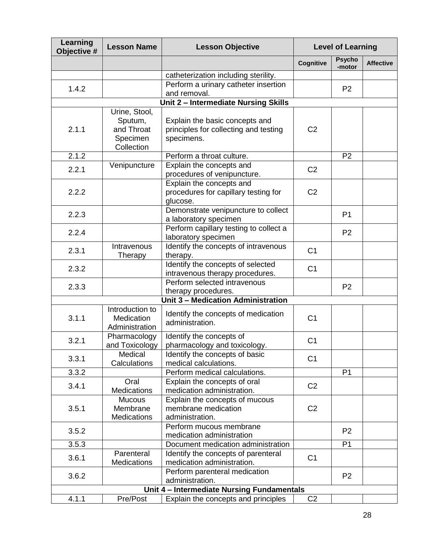| Learning<br>Objective # | <b>Lesson Name</b>                              | <b>Lesson Objective</b>                                                               |                  | <b>Level of Learning</b> |                  |
|-------------------------|-------------------------------------------------|---------------------------------------------------------------------------------------|------------------|--------------------------|------------------|
|                         |                                                 |                                                                                       | <b>Cognitive</b> | <b>Psycho</b><br>-motor  | <b>Affective</b> |
|                         |                                                 | catheterization including sterility.                                                  |                  |                          |                  |
| 1.4.2                   |                                                 | Perform a urinary catheter insertion<br>and removal.                                  |                  | P <sub>2</sub>           |                  |
|                         |                                                 | Unit 2 - Intermediate Nursing Skills                                                  |                  |                          |                  |
|                         | Urine, Stool,                                   |                                                                                       |                  |                          |                  |
| 2.1.1                   | Sputum,<br>and Throat<br>Specimen<br>Collection | Explain the basic concepts and<br>principles for collecting and testing<br>specimens. | C <sub>2</sub>   |                          |                  |
| 2.1.2                   |                                                 | Perform a throat culture.                                                             |                  | P <sub>2</sub>           |                  |
| 2.2.1                   | Venipuncture                                    | Explain the concepts and<br>procedures of venipuncture.                               | C <sub>2</sub>   |                          |                  |
| 2.2.2                   |                                                 | Explain the concepts and<br>procedures for capillary testing for<br>glucose.          | C <sub>2</sub>   |                          |                  |
| 2.2.3                   |                                                 | Demonstrate venipuncture to collect<br>a laboratory specimen                          |                  | P <sub>1</sub>           |                  |
| 2.2.4                   |                                                 | Perform capillary testing to collect a<br>laboratory specimen                         |                  | P <sub>2</sub>           |                  |
| 2.3.1                   | Intravenous<br>Therapy                          | Identify the concepts of intravenous<br>therapy.                                      | C <sub>1</sub>   |                          |                  |
| 2.3.2                   |                                                 | Identify the concepts of selected<br>intravenous therapy procedures.                  | C <sub>1</sub>   |                          |                  |
| 2.3.3                   |                                                 | Perform selected intravenous<br>therapy procedures.                                   |                  | P <sub>2</sub>           |                  |
|                         |                                                 | Unit 3 - Medication Administration                                                    |                  |                          |                  |
| 3.1.1                   | Introduction to<br>Medication<br>Administration | Identify the concepts of medication<br>administration.                                | C <sub>1</sub>   |                          |                  |
| 3.2.1                   | Pharmacology<br>and Toxicology                  | Identify the concepts of<br>pharmacology and toxicology.                              | C <sub>1</sub>   |                          |                  |
| 3.3.1                   | Medical<br>Calculations                         | Identify the concepts of basic<br>medical calculations.                               | C <sub>1</sub>   |                          |                  |
| 3.3.2                   |                                                 | Perform medical calculations.                                                         |                  | P <sub>1</sub>           |                  |
| 3.4.1                   | Oral<br><b>Medications</b>                      | Explain the concepts of oral<br>medication administration.                            | C <sub>2</sub>   |                          |                  |
| 3.5.1                   | <b>Mucous</b><br>Membrane<br>Medications        | Explain the concepts of mucous<br>membrane medication<br>administration.              | C <sub>2</sub>   |                          |                  |
| 3.5.2                   |                                                 | Perform mucous membrane<br>medication administration                                  |                  | P <sub>2</sub>           |                  |
| 3.5.3                   |                                                 | Document medication administration                                                    |                  | P <sub>1</sub>           |                  |
| 3.6.1                   | Parenteral<br><b>Medications</b>                | Identify the concepts of parenteral<br>medication administration.                     | C <sub>1</sub>   |                          |                  |
| 3.6.2                   |                                                 | Perform parenteral medication<br>administration.                                      |                  | P <sub>2</sub>           |                  |
|                         |                                                 | Unit 4 - Intermediate Nursing Fundamentals                                            |                  |                          |                  |
| 4.1.1                   | Pre/Post                                        | Explain the concepts and principles                                                   | C <sub>2</sub>   |                          |                  |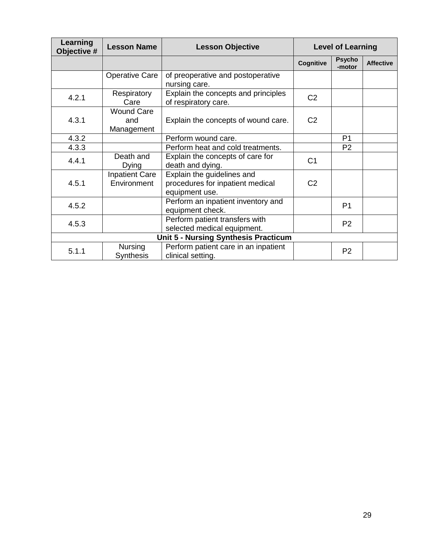| Learning<br>Objective # | <b>Lesson Name</b>                     | <b>Lesson Objective</b>                                                          |                | <b>Level of Learning</b> |                  |
|-------------------------|----------------------------------------|----------------------------------------------------------------------------------|----------------|--------------------------|------------------|
|                         |                                        |                                                                                  | Cognitive      | <b>Psycho</b><br>-motor  | <b>Affective</b> |
|                         | <b>Operative Care</b>                  | of preoperative and postoperative<br>nursing care.                               |                |                          |                  |
| 4.2.1                   | Respiratory<br>Care                    | Explain the concepts and principles<br>of respiratory care.                      | C <sub>2</sub> |                          |                  |
| 4.3.1                   | <b>Wound Care</b><br>and<br>Management | Explain the concepts of wound care.                                              | C <sub>2</sub> |                          |                  |
| 4.3.2                   |                                        | Perform wound care.                                                              |                | P <sub>1</sub>           |                  |
| 4.3.3                   |                                        | Perform heat and cold treatments.                                                |                | P <sub>2</sub>           |                  |
| 4.4.1                   | Death and<br>Dying                     | Explain the concepts of care for<br>death and dying.                             | C <sub>1</sub> |                          |                  |
| 4.5.1                   | <b>Inpatient Care</b><br>Environment   | Explain the guidelines and<br>procedures for inpatient medical<br>equipment use. | C <sub>2</sub> |                          |                  |
| 4.5.2                   |                                        | Perform an inpatient inventory and<br>equipment check.                           |                | P <sub>1</sub>           |                  |
| 4.5.3                   |                                        | Perform patient transfers with<br>selected medical equipment.                    |                | P <sub>2</sub>           |                  |
|                         |                                        | <b>Unit 5 - Nursing Synthesis Practicum</b>                                      |                |                          |                  |
| 5.1.1                   | <b>Nursing</b><br>Synthesis            | Perform patient care in an inpatient<br>clinical setting.                        |                | P <sub>2</sub>           |                  |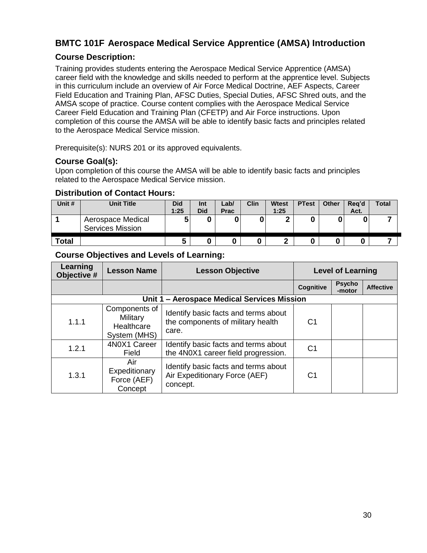# <span id="page-29-0"></span>**BMTC 101F Aerospace Medical Service Apprentice (AMSA) Introduction**

### <span id="page-29-1"></span>**Course Description:**

Training provides students entering the Aerospace Medical Service Apprentice (AMSA) career field with the knowledge and skills needed to perform at the apprentice level. Subjects in this curriculum include an overview of Air Force Medical Doctrine, AEF Aspects, Career Field Education and Training Plan, AFSC Duties, Special Duties, AFSC Shred outs, and the AMSA scope of practice. Course content complies with the Aerospace Medical Service Career Field Education and Training Plan (CFETP) and Air Force instructions. Upon completion of this course the AMSA will be able to identify basic facts and principles related to the Aerospace Medical Service mission.

Prerequisite(s): NURS 201 or its approved equivalents.

#### <span id="page-29-2"></span>**Course Goal(s):**

Upon completion of this course the AMSA will be able to identify basic facts and principles related to the Aerospace Medical Service mission.

#### <span id="page-29-3"></span>**Distribution of Contact Hours:**

| Unit #       | <b>Unit Title</b>                            | <b>Did</b><br>1:25 | Int<br><b>Did</b> | ∟ab/<br><b>Prac</b> | Clin | <b>Wtest</b><br>1:25 | <b>PTest</b> | <b>Other</b> | Reg'd<br>Act. | <b>Total</b> |
|--------------|----------------------------------------------|--------------------|-------------------|---------------------|------|----------------------|--------------|--------------|---------------|--------------|
|              | Aerospace Medical<br><b>Services Mission</b> |                    |                   | 0                   |      | e                    |              |              |               |              |
| <b>Total</b> |                                              | 5                  |                   |                     |      | ◠                    |              |              |               |              |

<span id="page-29-4"></span>

| Learning<br>Objective # | <b>Lesson Name</b>                                             | <b>Lesson Objective</b>                                                            |                | <b>Level of Learning</b> |                  |  |
|-------------------------|----------------------------------------------------------------|------------------------------------------------------------------------------------|----------------|--------------------------|------------------|--|
|                         |                                                                |                                                                                    | Cognitive      | <b>Psycho</b><br>-motor  | <b>Affective</b> |  |
|                         |                                                                | Unit 1 - Aerospace Medical Services Mission                                        |                |                          |                  |  |
| 1.1.1                   | Components of<br><b>Military</b><br>Healthcare<br>System (MHS) | Identify basic facts and terms about<br>the components of military health<br>care. | C1             |                          |                  |  |
| 1.2.1                   | 4N0X1 Career<br>Field                                          | Identify basic facts and terms about<br>the 4N0X1 career field progression.        | C <sub>1</sub> |                          |                  |  |
| 1.3.1                   | Air<br>Expeditionary<br>Force (AEF)<br>Concept                 | Identify basic facts and terms about<br>Air Expeditionary Force (AEF)<br>concept.  | C1             |                          |                  |  |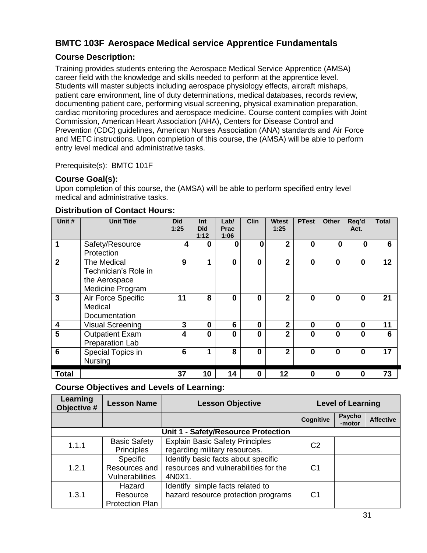# <span id="page-30-0"></span>**BMTC 103F Aerospace Medical service Apprentice Fundamentals**

### <span id="page-30-1"></span>**Course Description:**

Training provides students entering the Aerospace Medical Service Apprentice (AMSA) career field with the knowledge and skills needed to perform at the apprentice level. Students will master subjects including aerospace physiology effects, aircraft mishaps, patient care environment, line of duty determinations, medical databases, records review, documenting patient care, performing visual screening, physical examination preparation, cardiac monitoring procedures and aerospace medicine. Course content complies with Joint Commission, American Heart Association (AHA), Centers for Disease Control and Prevention (CDC) guidelines, American Nurses Association (ANA) standards and Air Force and METC instructions. Upon completion of this course, the (AMSA) will be able to perform entry level medical and administrative tasks.

Prerequisite(s): BMTC 101F

### <span id="page-30-2"></span>**Course Goal(s):**

Upon completion of this course, the (AMSA) will be able to perform specified entry level medical and administrative tasks.

| Unit #                  | <b>Unit Title</b>       | <b>Did</b><br>1:25 | Int<br><b>Did</b><br>1:12 | Lab/<br><b>Prac</b><br>1:06 | <b>Clin</b> | Wtest<br>1:25  | <b>PTest</b> | <b>Other</b> | Req'd<br>Act. | <b>Total</b> |
|-------------------------|-------------------------|--------------------|---------------------------|-----------------------------|-------------|----------------|--------------|--------------|---------------|--------------|
| 1                       | Safety/Resource         | 4                  | 0                         | 0                           | 0           | $\overline{2}$ | $\bf{0}$     | 0            | 0             | 6            |
|                         | Protection              |                    |                           |                             |             |                |              |              |               |              |
| $\overline{2}$          | The Medical             | 9                  | 1                         | 0                           | $\bf{0}$    | $\overline{2}$ | $\bf{0}$     | 0            | 0             | 12           |
|                         | Technician's Role in    |                    |                           |                             |             |                |              |              |               |              |
|                         | the Aerospace           |                    |                           |                             |             |                |              |              |               |              |
|                         | Medicine Program        |                    |                           |                             |             |                |              |              |               |              |
| 3                       | Air Force Specific      | 11                 | 8                         | 0                           | $\bf{0}$    | $\overline{2}$ | $\bf{0}$     | 0            | 0             | 21           |
|                         | Medical                 |                    |                           |                             |             |                |              |              |               |              |
|                         | Documentation           |                    |                           |                             |             |                |              |              |               |              |
| $\boldsymbol{4}$        | <b>Visual Screening</b> | 3                  | $\mathbf 0$               | 6                           | $\bf{0}$    | $\overline{2}$ | $\mathbf 0$  | 0            | $\bf{0}$      | 11           |
| $\overline{\mathbf{5}}$ | <b>Outpatient Exam</b>  | 4                  | $\bf{0}$                  | 0                           | 0           | $\overline{2}$ | $\bf{0}$     | $\Omega$     | $\bf{0}$      | 6            |
|                         | Preparation Lab         |                    |                           |                             |             |                |              |              |               |              |
| 6                       | Special Topics in       | 6                  | 1                         | 8                           | 0           | $\mathbf{2}$   | $\bf{0}$     | O            | $\Omega$      | 17           |
|                         | Nursing                 |                    |                           |                             |             |                |              |              |               |              |
| <b>Total</b>            |                         | 37                 | 10                        | 14                          | 0           | 12             | $\bf{0}$     | 0            | 0             | 73           |

#### <span id="page-30-3"></span>**Distribution of Contact Hours:**

<span id="page-30-4"></span>

| Learning<br>Objective #             | <b>Lesson Name</b>                                  | <b>Lesson Objective</b>                                                                |                |                         | <b>Level of Learning</b> |  |  |  |
|-------------------------------------|-----------------------------------------------------|----------------------------------------------------------------------------------------|----------------|-------------------------|--------------------------|--|--|--|
|                                     |                                                     |                                                                                        | Cognitive      | <b>Psycho</b><br>-motor | <b>Affective</b>         |  |  |  |
| Unit 1 - Safety/Resource Protection |                                                     |                                                                                        |                |                         |                          |  |  |  |
| 1.1.1                               | <b>Basic Safety</b><br><b>Principles</b>            | <b>Explain Basic Safety Principles</b><br>regarding military resources.                | C <sub>2</sub> |                         |                          |  |  |  |
| 1.2.1                               | Specific<br>Resources and<br><b>Vulnerabilities</b> | Identify basic facts about specific<br>resources and vulnerabilities for the<br>4N0X1. | C1             |                         |                          |  |  |  |
| 1.3.1                               | Hazard<br>Resource<br><b>Protection Plan</b>        | Identify simple facts related to<br>hazard resource protection programs                | C1             |                         |                          |  |  |  |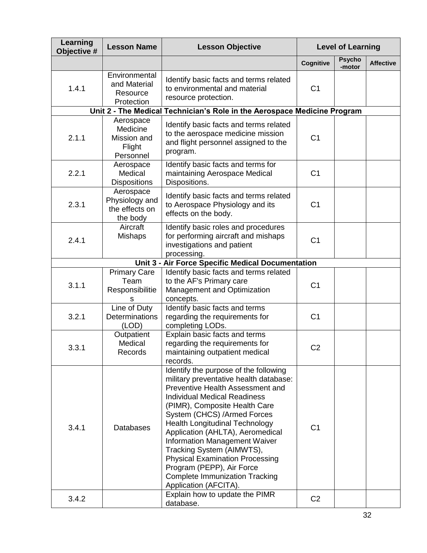| Learning<br>Objective # | <b>Lesson Name</b>                                          | <b>Lesson Objective</b>                                                                                                                                                                                                                                                                                                                                                                                                                                                                                        | <b>Level of Learning</b> |                         |                  |
|-------------------------|-------------------------------------------------------------|----------------------------------------------------------------------------------------------------------------------------------------------------------------------------------------------------------------------------------------------------------------------------------------------------------------------------------------------------------------------------------------------------------------------------------------------------------------------------------------------------------------|--------------------------|-------------------------|------------------|
|                         |                                                             |                                                                                                                                                                                                                                                                                                                                                                                                                                                                                                                | Cognitive                | <b>Psycho</b><br>-motor | <b>Affective</b> |
| 1.4.1                   | Environmental<br>and Material<br>Resource<br>Protection     | Identify basic facts and terms related<br>to environmental and material<br>resource protection.                                                                                                                                                                                                                                                                                                                                                                                                                | C <sub>1</sub>           |                         |                  |
|                         |                                                             | Unit 2 - The Medical Technician's Role in the Aerospace Medicine Program                                                                                                                                                                                                                                                                                                                                                                                                                                       |                          |                         |                  |
| 2.1.1                   | Aerospace<br>Medicine<br>Mission and<br>Flight<br>Personnel | Identify basic facts and terms related<br>to the aerospace medicine mission<br>and flight personnel assigned to the<br>program.                                                                                                                                                                                                                                                                                                                                                                                | C <sub>1</sub>           |                         |                  |
| 2.2.1                   | Aerospace<br>Medical<br><b>Dispositions</b>                 | Identify basic facts and terms for<br>maintaining Aerospace Medical<br>Dispositions.                                                                                                                                                                                                                                                                                                                                                                                                                           | C <sub>1</sub>           |                         |                  |
| 2.3.1                   | Aerospace<br>Physiology and<br>the effects on<br>the body   | Identify basic facts and terms related<br>to Aerospace Physiology and its<br>effects on the body.                                                                                                                                                                                                                                                                                                                                                                                                              | C <sub>1</sub>           |                         |                  |
| 2.4.1                   | Aircraft<br><b>Mishaps</b>                                  | Identify basic roles and procedures<br>for performing aircraft and mishaps<br>investigations and patient<br>processing.                                                                                                                                                                                                                                                                                                                                                                                        | C <sub>1</sub>           |                         |                  |
|                         |                                                             | Unit 3 - Air Force Specific Medical Documentation                                                                                                                                                                                                                                                                                                                                                                                                                                                              |                          |                         |                  |
| 3.1.1                   | <b>Primary Care</b><br>Team<br>Responsibilitie<br>s         | Identify basic facts and terms related<br>to the AF's Primary care<br>Management and Optimization<br>concepts.                                                                                                                                                                                                                                                                                                                                                                                                 | C <sub>1</sub>           |                         |                  |
| 3.2.1                   | Line of Duty<br>Determinations<br>(LOD)                     | Identify basic facts and terms<br>regarding the requirements for<br>completing LODs.                                                                                                                                                                                                                                                                                                                                                                                                                           | C <sub>1</sub>           |                         |                  |
| 3.3.1                   | Outpatient<br>Medical<br>Records                            | Explain basic facts and terms<br>regarding the requirements for<br>maintaining outpatient medical<br>records.                                                                                                                                                                                                                                                                                                                                                                                                  | C <sub>2</sub>           |                         |                  |
| 3.4.1                   | <b>Databases</b>                                            | Identify the purpose of the following<br>military preventative health database:<br>Preventive Health Assessment and<br><b>Individual Medical Readiness</b><br>(PIMR), Composite Health Care<br>System (CHCS) /Armed Forces<br><b>Health Longitudinal Technology</b><br>Application (AHLTA), Aeromedical<br>Information Management Waiver<br>Tracking System (AIMWTS),<br><b>Physical Examination Processing</b><br>Program (PEPP), Air Force<br><b>Complete Immunization Tracking</b><br>Application (AFCITA). | C <sub>1</sub>           |                         |                  |
| 3.4.2                   |                                                             | Explain how to update the PIMR<br>database.                                                                                                                                                                                                                                                                                                                                                                                                                                                                    | C <sub>2</sub>           |                         |                  |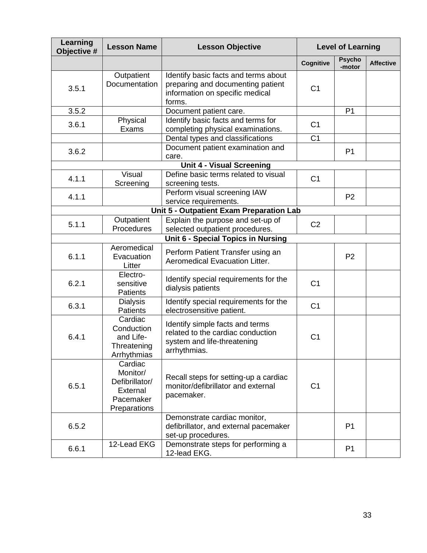| Learning<br>Objective # | <b>Lesson Name</b>                                                             | <b>Lesson Objective</b>                                                                                                | <b>Level of Learning</b> |                         |                  |
|-------------------------|--------------------------------------------------------------------------------|------------------------------------------------------------------------------------------------------------------------|--------------------------|-------------------------|------------------|
|                         |                                                                                |                                                                                                                        | Cognitive                | <b>Psycho</b><br>-motor | <b>Affective</b> |
| 3.5.1                   | Outpatient<br>Documentation                                                    | Identify basic facts and terms about<br>preparing and documenting patient<br>information on specific medical<br>forms. | C <sub>1</sub>           |                         |                  |
| 3.5.2                   |                                                                                | Document patient care.                                                                                                 |                          | P <sub>1</sub>          |                  |
| 3.6.1                   | Physical<br>Exams                                                              | Identify basic facts and terms for<br>completing physical examinations.                                                | C <sub>1</sub>           |                         |                  |
|                         |                                                                                | Dental types and classifications                                                                                       | C <sub>1</sub>           |                         |                  |
| 3.6.2                   |                                                                                | Document patient examination and<br>care.                                                                              |                          | P <sub>1</sub>          |                  |
|                         |                                                                                | <b>Unit 4 - Visual Screening</b>                                                                                       |                          |                         |                  |
| 4.1.1                   | <b>Visual</b><br>Screening                                                     | Define basic terms related to visual<br>screening tests.                                                               | C <sub>1</sub>           |                         |                  |
| 4.1.1                   |                                                                                | Perform visual screening IAW<br>service requirements.                                                                  |                          | P <sub>2</sub>          |                  |
|                         |                                                                                | Unit 5 - Outpatient Exam Preparation Lab                                                                               |                          |                         |                  |
| 5.1.1                   | Outpatient<br>Procedures                                                       | Explain the purpose and set-up of<br>selected outpatient procedures.                                                   | C <sub>2</sub>           |                         |                  |
|                         |                                                                                | Unit 6 - Special Topics in Nursing                                                                                     |                          |                         |                  |
| 6.1.1                   | Aeromedical<br>Evacuation<br>Litter                                            | Perform Patient Transfer using an<br>Aeromedical Evacuation Litter.                                                    |                          | P <sub>2</sub>          |                  |
| 6.2.1                   | Electro-<br>sensitive<br><b>Patients</b>                                       | Identify special requirements for the<br>dialysis patients                                                             | C <sub>1</sub>           |                         |                  |
| 6.3.1                   | <b>Dialysis</b><br><b>Patients</b>                                             | Identify special requirements for the<br>electrosensitive patient.                                                     | C <sub>1</sub>           |                         |                  |
| 6.4.1                   | Cardiac<br>Conduction<br>and Life-<br>Threatening<br>Arrhythmias               | Identify simple facts and terms<br>related to the cardiac conduction<br>system and life-threatening<br>arrhythmias.    | C <sub>1</sub>           |                         |                  |
| 6.5.1                   | Cardiac<br>Monitor/<br>Defibrillator/<br>External<br>Pacemaker<br>Preparations | Recall steps for setting-up a cardiac<br>monitor/defibrillator and external<br>pacemaker.                              | C <sub>1</sub>           |                         |                  |
| 6.5.2                   |                                                                                | Demonstrate cardiac monitor,<br>defibrillator, and external pacemaker<br>set-up procedures.                            |                          | P <sub>1</sub>          |                  |
| 6.6.1                   | 12-Lead EKG                                                                    | Demonstrate steps for performing a<br>12-lead EKG.                                                                     |                          | P <sub>1</sub>          |                  |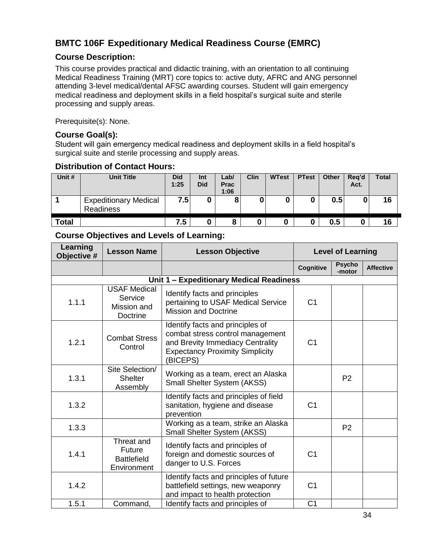# <span id="page-33-0"></span>**BMTC 106F Expeditionary Medical Readiness Course (EMRC)**

### <span id="page-33-1"></span>**Course Description:**

This course provides practical and didactic training, with an orientation to all continuing Medical Readiness Training (MRT) core topics to: active duty, AFRC and ANG personnel attending 3-level medical/dental AFSC awarding courses. Student will gain emergency medical readiness and deployment skills in a field hospital's surgical suite and sterile processing and supply areas.

Prerequisite(s): None.

#### <span id="page-33-2"></span>**Course Goal(s):**

Student will gain emergency medical readiness and deployment skills in a field hospital's surgical suite and sterile processing and supply areas.

#### <span id="page-33-3"></span>**Distribution of Contact Hours:**

| Unit #       | <b>Unit Title</b>                                | <b>Did</b><br>1:25 | Int<br><b>Did</b> | Lab/<br><b>Prac</b><br>1:06 | Clin | <b>WTest</b> | <b>PTest</b> | Other | Reg'd<br>Act. | <b>Total</b> |
|--------------|--------------------------------------------------|--------------------|-------------------|-----------------------------|------|--------------|--------------|-------|---------------|--------------|
|              | <b>Expeditionary Medical</b><br><b>Readiness</b> | 7.5                | 0                 | О                           |      | υ            |              | 0.5   |               | 16           |
| <b>Total</b> |                                                  | 7.5                | u                 | 8                           |      |              |              | 0.5   | u             | 16           |

<span id="page-33-4"></span>

| Learning<br>Objective # | <b>Lesson Name</b>                                               | <b>Lesson Objective</b>                                                                                                                                        |                | <b>Level of Learning</b> |                  |
|-------------------------|------------------------------------------------------------------|----------------------------------------------------------------------------------------------------------------------------------------------------------------|----------------|--------------------------|------------------|
|                         |                                                                  |                                                                                                                                                                | Cognitive      | <b>Psycho</b><br>-motor  | <b>Affective</b> |
|                         | Unit 1 - Expeditionary Medical Readiness                         |                                                                                                                                                                |                |                          |                  |
| 1.1.1                   | <b>USAF Medical</b><br>Service<br>Mission and<br>Doctrine        | Identify facts and principles<br>pertaining to USAF Medical Service<br><b>Mission and Doctrine</b>                                                             | C <sub>1</sub> |                          |                  |
| 1.2.1                   | <b>Combat Stress</b><br>Control                                  | Identify facts and principles of<br>combat stress control management<br>and Brevity Immediacy Centrality<br><b>Expectancy Proximity Simplicity</b><br>(BICEPS) | C <sub>1</sub> |                          |                  |
| 1.3.1                   | Site Selection/<br><b>Shelter</b><br>Assembly                    | Working as a team, erect an Alaska<br>Small Shelter System (AKSS)                                                                                              |                | P <sub>2</sub>           |                  |
| 1.3.2                   |                                                                  | Identify facts and principles of field<br>sanitation, hygiene and disease<br>prevention                                                                        | C <sub>1</sub> |                          |                  |
| 1.3.3                   |                                                                  | Working as a team, strike an Alaska<br>Small Shelter System (AKSS)                                                                                             |                | P <sub>2</sub>           |                  |
| 1.4.1                   | Threat and<br><b>Future</b><br><b>Battlefield</b><br>Environment | Identify facts and principles of<br>foreign and domestic sources of<br>danger to U.S. Forces                                                                   | C <sub>1</sub> |                          |                  |
| 1.4.2                   |                                                                  | Identify facts and principles of future<br>battlefield settings, new weaponry<br>and impact to health protection                                               | C <sub>1</sub> |                          |                  |
| 1.5.1                   | Command,                                                         | Identify facts and principles of                                                                                                                               | C <sub>1</sub> |                          |                  |